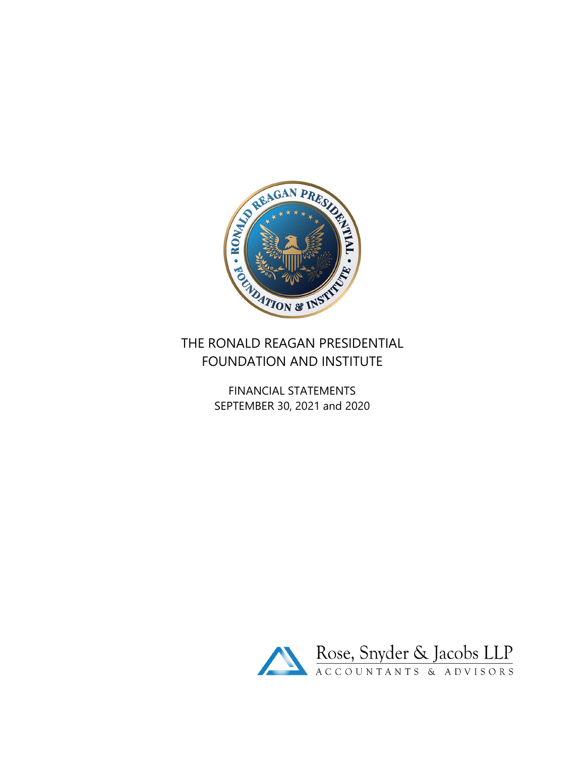

# THE RONALD REAGAN PRESIDENTIAL FOUNDATION AND INSTITUTE

FINANCIAL STATEMENTS SEPTEMBER 30, 2021 and 2020

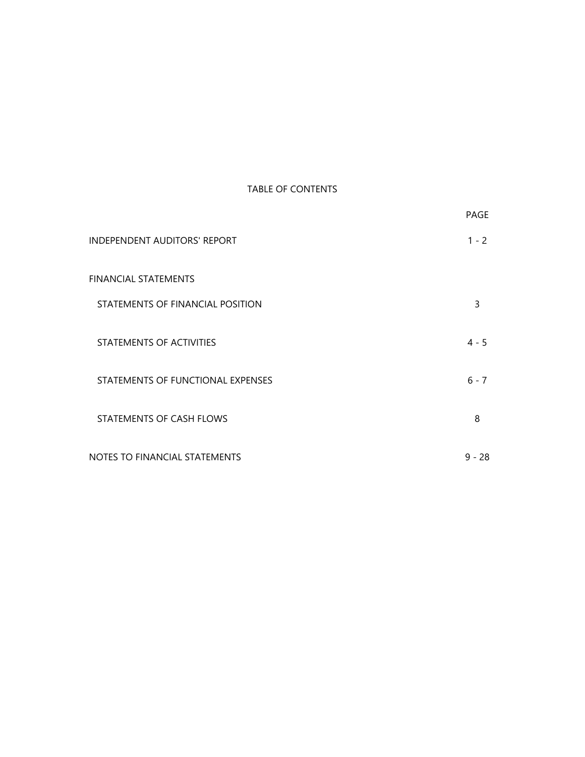# TABLE OF CONTENTS

|                                     | <b>PAGE</b> |
|-------------------------------------|-------------|
| <b>INDEPENDENT AUDITORS' REPORT</b> | $1 - 2$     |
| <b>FINANCIAL STATEMENTS</b>         |             |
| STATEMENTS OF FINANCIAL POSITION    | 3           |
| STATEMENTS OF ACTIVITIES            | $4 - 5$     |
| STATEMENTS OF FUNCTIONAL EXPENSES   | $6 - 7$     |
| STATEMENTS OF CASH FLOWS            | 8           |
| NOTES TO FINANCIAL STATEMENTS       | 9 - 28      |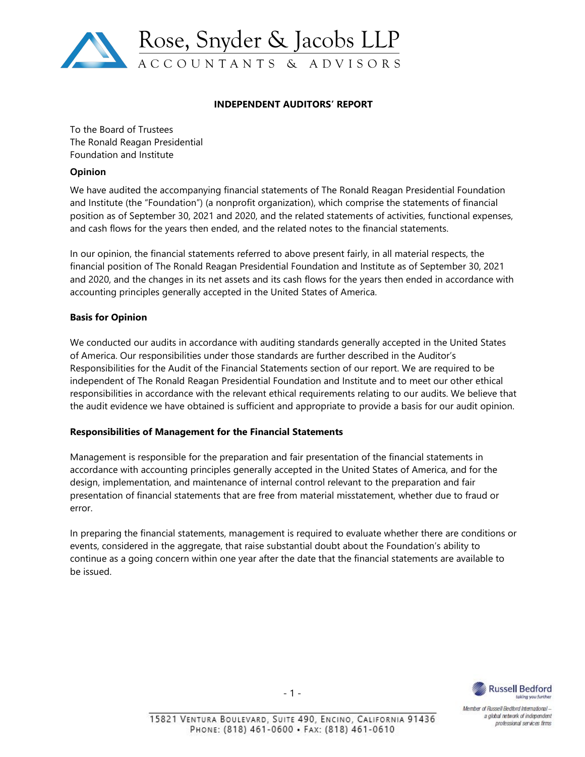

#### **INDEPENDENT AUDITORS' REPORT**

To the Board of Trustees The Ronald Reagan Presidential Foundation and Institute

#### **Opinion**

We have audited the accompanying financial statements of The Ronald Reagan Presidential Foundation and Institute (the "Foundation") (a nonprofit organization), which comprise the statements of financial position as of September 30, 2021 and 2020, and the related statements of activities, functional expenses, and cash flows for the years then ended, and the related notes to the financial statements.

In our opinion, the financial statements referred to above present fairly, in all material respects, the financial position of The Ronald Reagan Presidential Foundation and Institute as of September 30, 2021 and 2020, and the changes in its net assets and its cash flows for the years then ended in accordance with accounting principles generally accepted in the United States of America.

#### **Basis for Opinion**

We conducted our audits in accordance with auditing standards generally accepted in the United States of America. Our responsibilities under those standards are further described in the Auditor's Responsibilities for the Audit of the Financial Statements section of our report. We are required to be independent of The Ronald Reagan Presidential Foundation and Institute and to meet our other ethical responsibilities in accordance with the relevant ethical requirements relating to our audits. We believe that the audit evidence we have obtained is sufficient and appropriate to provide a basis for our audit opinion.

## **Responsibilities of Management for the Financial Statements**

Management is responsible for the preparation and fair presentation of the financial statements in accordance with accounting principles generally accepted in the United States of America, and for the design, implementation, and maintenance of internal control relevant to the preparation and fair presentation of financial statements that are free from material misstatement, whether due to fraud or error.

In preparing the financial statements, management is required to evaluate whether there are conditions or events, considered in the aggregate, that raise substantial doubt about the Foundation's ability to continue as a going concern within one year after the date that the financial statements are available to be issued.



Member of Russell Bedford Internationala global network of independent professional services firms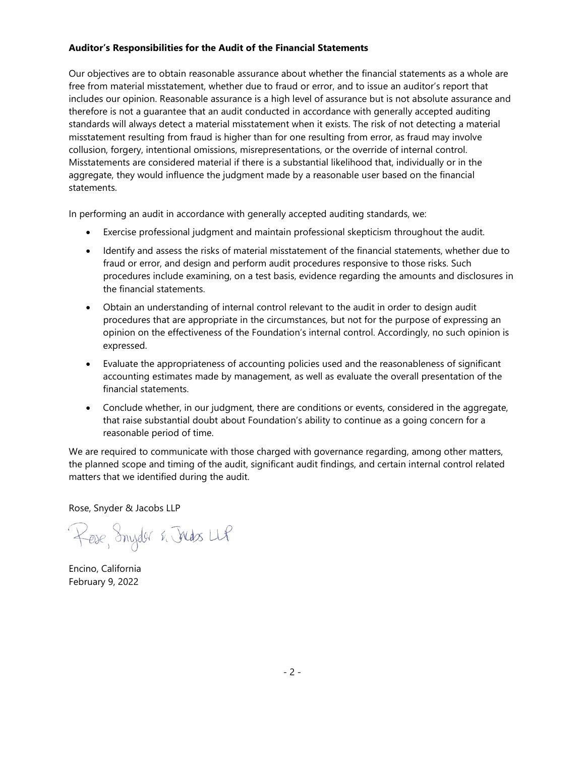## **Auditor's Responsibilities for the Audit of the Financial Statements**

Our objectives are to obtain reasonable assurance about whether the financial statements as a whole are free from material misstatement, whether due to fraud or error, and to issue an auditor's report that includes our opinion. Reasonable assurance is a high level of assurance but is not absolute assurance and therefore is not a guarantee that an audit conducted in accordance with generally accepted auditing standards will always detect a material misstatement when it exists. The risk of not detecting a material misstatement resulting from fraud is higher than for one resulting from error, as fraud may involve collusion, forgery, intentional omissions, misrepresentations, or the override of internal control. Misstatements are considered material if there is a substantial likelihood that, individually or in the aggregate, they would influence the judgment made by a reasonable user based on the financial statements.

In performing an audit in accordance with generally accepted auditing standards, we:

- Exercise professional judgment and maintain professional skepticism throughout the audit.
- Identify and assess the risks of material misstatement of the financial statements, whether due to fraud or error, and design and perform audit procedures responsive to those risks. Such procedures include examining, on a test basis, evidence regarding the amounts and disclosures in the financial statements.
- Obtain an understanding of internal control relevant to the audit in order to design audit procedures that are appropriate in the circumstances, but not for the purpose of expressing an opinion on the effectiveness of the Foundation's internal control. Accordingly, no such opinion is expressed.
- Evaluate the appropriateness of accounting policies used and the reasonableness of significant accounting estimates made by management, as well as evaluate the overall presentation of the financial statements.
- Conclude whether, in our judgment, there are conditions or events, considered in the aggregate, that raise substantial doubt about Foundation's ability to continue as a going concern for a reasonable period of time.

We are required to communicate with those charged with governance regarding, among other matters, the planned scope and timing of the audit, significant audit findings, and certain internal control related matters that we identified during the audit.

Rose, Snyder & Jacobs LLP

Rose, Snyder & Juds LLP

Encino, California February 9, 2022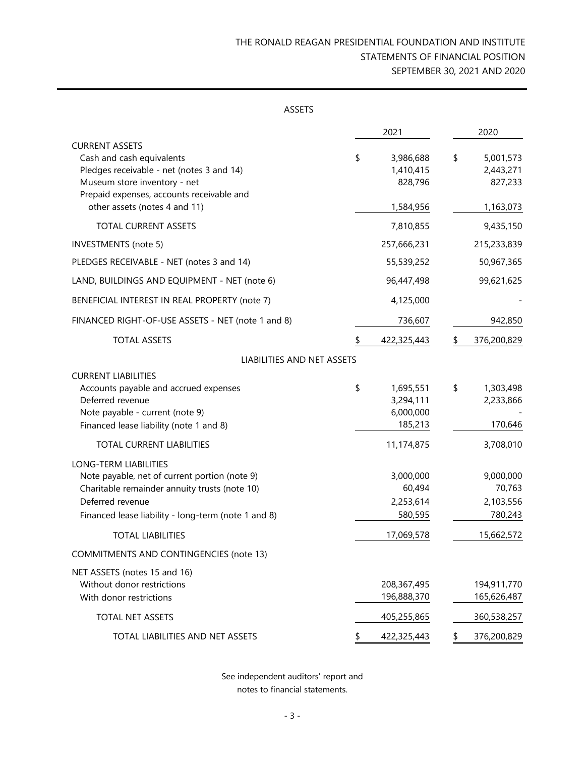# THE RONALD REAGAN PRESIDENTIAL FOUNDATION AND INSTITUTE STATEMENTS OF FINANCIAL POSITION SEPTEMBER 30, 2021 AND 2020

| <b>ASSETS</b>                                                                                                                                                                                      |                                                      |                                             |
|----------------------------------------------------------------------------------------------------------------------------------------------------------------------------------------------------|------------------------------------------------------|---------------------------------------------|
|                                                                                                                                                                                                    | 2021                                                 | 2020                                        |
| <b>CURRENT ASSETS</b><br>Cash and cash equivalents<br>Pledges receivable - net (notes 3 and 14)<br>Museum store inventory - net<br>Prepaid expenses, accounts receivable and                       | \$<br>3,986,688<br>1,410,415<br>828,796              | \$<br>5,001,573<br>2,443,271<br>827,233     |
| other assets (notes 4 and 11)                                                                                                                                                                      | 1,584,956                                            | 1,163,073                                   |
| <b>TOTAL CURRENT ASSETS</b>                                                                                                                                                                        | 7,810,855                                            | 9,435,150                                   |
| <b>INVESTMENTS</b> (note 5)                                                                                                                                                                        | 257,666,231                                          | 215,233,839                                 |
| PLEDGES RECEIVABLE - NET (notes 3 and 14)                                                                                                                                                          | 55,539,252                                           | 50,967,365                                  |
| LAND, BUILDINGS AND EQUIPMENT - NET (note 6)                                                                                                                                                       | 96,447,498                                           | 99,621,625                                  |
| BENEFICIAL INTEREST IN REAL PROPERTY (note 7)                                                                                                                                                      | 4,125,000                                            |                                             |
| FINANCED RIGHT-OF-USE ASSETS - NET (note 1 and 8)                                                                                                                                                  | 736,607                                              | 942,850                                     |
| <b>TOTAL ASSETS</b>                                                                                                                                                                                | \$<br>422,325,443                                    | \$<br>376,200,829                           |
| <b>LIABILITIES AND NET ASSETS</b>                                                                                                                                                                  |                                                      |                                             |
| <b>CURRENT LIABILITIES</b><br>Accounts payable and accrued expenses<br>Deferred revenue<br>Note payable - current (note 9)<br>Financed lease liability (note 1 and 8)                              | \$<br>1,695,551<br>3,294,111<br>6,000,000<br>185,213 | \$<br>1,303,498<br>2,233,866<br>170,646     |
| <b>TOTAL CURRENT LIABILITIES</b>                                                                                                                                                                   | 11,174,875                                           | 3,708,010                                   |
| LONG-TERM LIABILITIES<br>Note payable, net of current portion (note 9)<br>Charitable remainder annuity trusts (note 10)<br>Deferred revenue<br>Financed lease liability - long-term (note 1 and 8) | 3,000,000<br>60,494<br>2,253,614<br>580,595          | 9,000,000<br>70,763<br>2,103,556<br>780,243 |
| <b>TOTAL LIABILITIES</b>                                                                                                                                                                           | 17,069,578                                           | 15,662,572                                  |
| <b>COMMITMENTS AND CONTINGENCIES (note 13)</b>                                                                                                                                                     |                                                      |                                             |
| NET ASSETS (notes 15 and 16)<br>Without donor restrictions<br>With donor restrictions                                                                                                              | 208,367,495<br>196,888,370                           | 194,911,770<br>165,626,487                  |
| TOTAL NET ASSETS                                                                                                                                                                                   | 405,255,865                                          | 360,538,257                                 |
| TOTAL LIABILITIES AND NET ASSETS                                                                                                                                                                   | \$<br>422,325,443                                    | \$<br>376,200,829                           |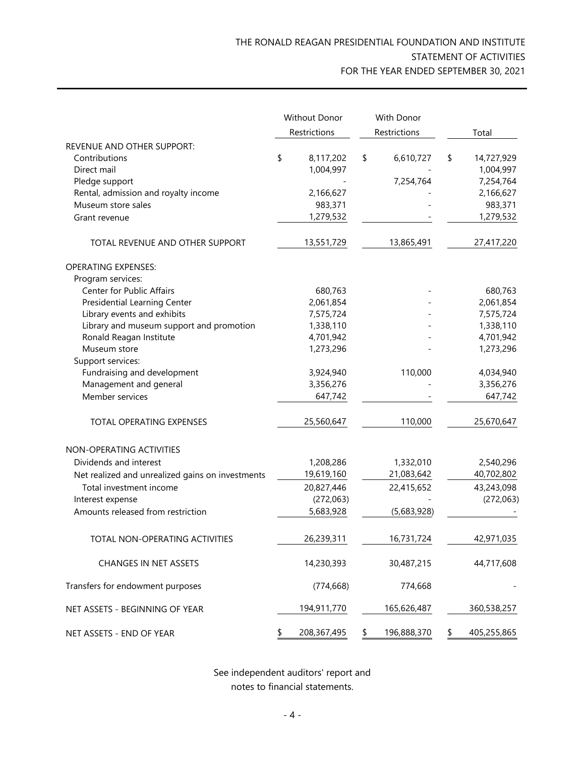|                                                  | <b>Without Donor</b> | <b>With Donor</b> |                   |
|--------------------------------------------------|----------------------|-------------------|-------------------|
|                                                  | Restrictions         | Restrictions      | Total             |
| REVENUE AND OTHER SUPPORT:                       |                      |                   |                   |
| Contributions                                    | \$<br>8,117,202      | \$<br>6,610,727   | \$<br>14,727,929  |
| Direct mail                                      | 1,004,997            |                   | 1,004,997         |
| Pledge support                                   |                      | 7,254,764         | 7,254,764         |
| Rental, admission and royalty income             | 2,166,627            |                   | 2,166,627         |
| Museum store sales                               | 983,371              |                   | 983,371           |
| Grant revenue                                    | 1,279,532            |                   | 1,279,532         |
| TOTAL REVENUE AND OTHER SUPPORT                  | 13,551,729           | 13,865,491        | 27,417,220        |
| <b>OPERATING EXPENSES:</b>                       |                      |                   |                   |
| Program services:                                |                      |                   |                   |
| Center for Public Affairs                        | 680,763              |                   | 680,763           |
| <b>Presidential Learning Center</b>              | 2,061,854            |                   | 2,061,854         |
| Library events and exhibits                      | 7,575,724            |                   | 7,575,724         |
| Library and museum support and promotion         | 1,338,110            |                   | 1,338,110         |
| Ronald Reagan Institute                          | 4,701,942            |                   | 4,701,942         |
| Museum store                                     | 1,273,296            |                   | 1,273,296         |
| Support services:                                |                      |                   |                   |
| Fundraising and development                      | 3,924,940            | 110,000           | 4,034,940         |
| Management and general                           | 3,356,276            |                   | 3,356,276         |
| Member services                                  | 647,742              |                   | 647,742           |
| <b>TOTAL OPERATING EXPENSES</b>                  | 25,560,647           | 110,000           | 25,670,647        |
| NON-OPERATING ACTIVITIES                         |                      |                   |                   |
| Dividends and interest                           | 1,208,286            | 1,332,010         | 2,540,296         |
| Net realized and unrealized gains on investments | 19,619,160           | 21,083,642        | 40,702,802        |
| Total investment income                          | 20,827,446           | 22,415,652        | 43,243,098        |
| Interest expense                                 | (272,063)            |                   | (272,063)         |
| Amounts released from restriction                | 5,683,928            | (5,683,928)       |                   |
| TOTAL NON-OPERATING ACTIVITIES                   | 26,239,311           | 16,731,724        | 42,971,035        |
| <b>CHANGES IN NET ASSETS</b>                     | 14,230,393           | 30,487,215        | 44,717,608        |
| Transfers for endowment purposes                 | (774, 668)           | 774,668           |                   |
| NET ASSETS - BEGINNING OF YEAR                   | 194,911,770          | 165,626,487       | 360,538,257       |
| NET ASSETS - END OF YEAR                         | \$<br>208, 367, 495  | \$<br>196,888,370 | \$<br>405,255,865 |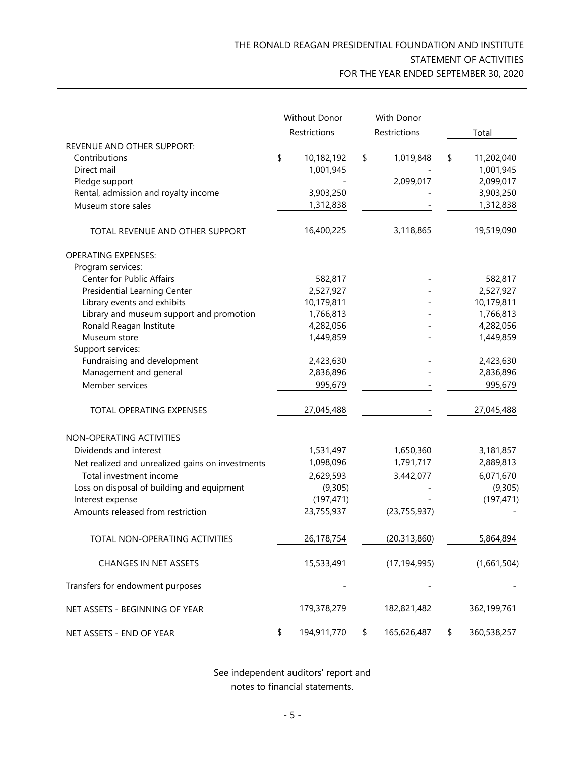|                                                  | With Donor<br><b>Without Donor</b> |              |    |                |                   |
|--------------------------------------------------|------------------------------------|--------------|----|----------------|-------------------|
|                                                  |                                    | Restrictions |    | Restrictions   | Total             |
| REVENUE AND OTHER SUPPORT:                       |                                    |              |    |                |                   |
| Contributions                                    | \$                                 | 10,182,192   | \$ | 1,019,848      | \$<br>11,202,040  |
| Direct mail                                      |                                    | 1,001,945    |    |                | 1,001,945         |
| Pledge support                                   |                                    |              |    | 2,099,017      | 2,099,017         |
| Rental, admission and royalty income             |                                    | 3,903,250    |    |                | 3,903,250         |
| Museum store sales                               |                                    | 1,312,838    |    |                | 1,312,838         |
| TOTAL REVENUE AND OTHER SUPPORT                  |                                    | 16,400,225   |    | 3,118,865      | 19,519,090        |
| <b>OPERATING EXPENSES:</b>                       |                                    |              |    |                |                   |
| Program services:                                |                                    |              |    |                |                   |
| Center for Public Affairs                        |                                    | 582,817      |    |                | 582,817           |
| <b>Presidential Learning Center</b>              |                                    | 2,527,927    |    |                | 2,527,927         |
| Library events and exhibits                      |                                    | 10,179,811   |    |                | 10,179,811        |
| Library and museum support and promotion         |                                    | 1,766,813    |    |                | 1,766,813         |
| Ronald Reagan Institute                          |                                    | 4,282,056    |    |                | 4,282,056         |
| Museum store                                     |                                    | 1,449,859    |    |                | 1,449,859         |
| Support services:                                |                                    |              |    |                |                   |
| Fundraising and development                      |                                    | 2,423,630    |    |                | 2,423,630         |
| Management and general                           |                                    | 2,836,896    |    |                | 2,836,896         |
| Member services                                  |                                    | 995,679      |    |                | 995,679           |
| TOTAL OPERATING EXPENSES                         |                                    | 27,045,488   |    |                | 27,045,488        |
| NON-OPERATING ACTIVITIES                         |                                    |              |    |                |                   |
| Dividends and interest                           |                                    | 1,531,497    |    | 1,650,360      | 3,181,857         |
| Net realized and unrealized gains on investments |                                    | 1,098,096    |    | 1,791,717      | 2,889,813         |
| Total investment income                          |                                    | 2,629,593    |    | 3,442,077      | 6,071,670         |
| Loss on disposal of building and equipment       |                                    | (9,305)      |    |                | (9,305)           |
| Interest expense                                 |                                    | (197, 471)   |    |                | (197, 471)        |
| Amounts released from restriction                |                                    | 23,755,937   |    | (23, 755, 937) |                   |
| TOTAL NON-OPERATING ACTIVITIES                   |                                    | 26,178,754   |    | (20, 313, 860) | 5,864,894         |
| <b>CHANGES IN NET ASSETS</b>                     |                                    | 15,533,491   |    | (17, 194, 995) | (1,661,504)       |
| Transfers for endowment purposes                 |                                    |              |    |                |                   |
| NET ASSETS - BEGINNING OF YEAR                   |                                    | 179,378,279  |    | 182,821,482    | 362,199,761       |
| NET ASSETS - END OF YEAR                         | \$                                 | 194,911,770  | \$ | 165,626,487    | \$<br>360,538,257 |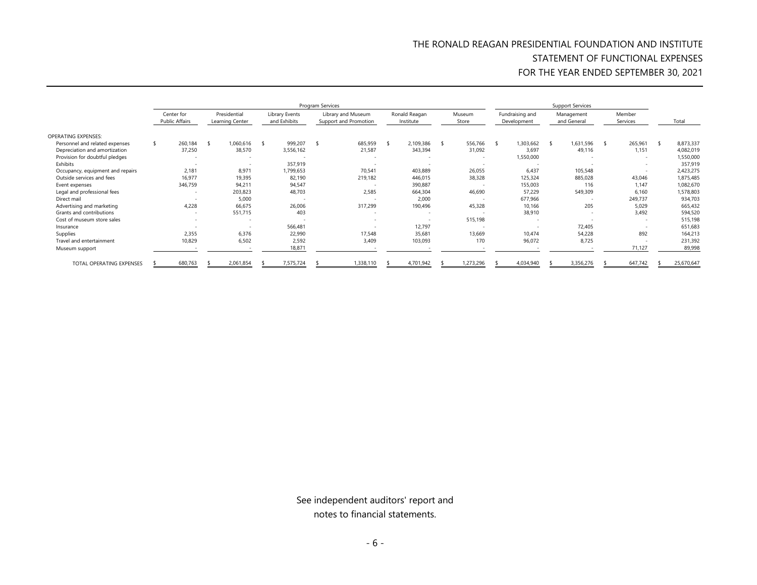# THE RONALD REAGAN PRESIDENTIAL FOUNDATION AND INSTITUTE STATEMENT OF FUNCTIONAL EXPENSES FOR THE YEAR ENDED SEPTEMBER 30, 2021

|                                  |                                     |                          |      |                          |      |                          |  | Program Services                |           |                                |                                             |    |                            |      |                          |     |                                |      |                           |  |                    |       |  |
|----------------------------------|-------------------------------------|--------------------------|------|--------------------------|------|--------------------------|--|---------------------------------|-----------|--------------------------------|---------------------------------------------|----|----------------------------|------|--------------------------|-----|--------------------------------|------|---------------------------|--|--------------------|-------|--|
|                                  | Center for<br><b>Public Affairs</b> |                          |      |                          |      |                          |  | Presidential<br>Learning Center |           | Library Events<br>and Exhibits | Library and Museum<br>Support and Promotion |    | Ronald Reagan<br>Institute |      | Museum<br>Store          |     | Fundraising and<br>Development |      | Management<br>and General |  | Member<br>Services | Total |  |
| <b>OPERATING EXPENSES:</b>       |                                     |                          |      |                          |      |                          |  |                                 |           |                                |                                             |    |                            |      |                          |     |                                |      |                           |  |                    |       |  |
| Personnel and related expenses   | s.                                  | 260,184                  | - \$ | 1,060,616                | - \$ | 999,207                  |  | 685,959                         | 2,109,386 | -5                             | 556,766                                     | -S | 1,303,662                  | - \$ | 1,631,596                | - S | 265,961                        | - \$ | 8,873,337                 |  |                    |       |  |
| Depreciation and amortization    |                                     | 37,250                   |      | 38,570                   |      | 3,556,162                |  | 21,587                          | 343,394   |                                | 31,092                                      |    | 3,697                      |      | 49,116                   |     | 1,151                          |      | 4,082,019                 |  |                    |       |  |
| Provision for doubtful pledges   |                                     |                          |      | $\overline{\phantom{a}}$ |      |                          |  | $\overline{\phantom{a}}$        | ٠         |                                |                                             |    | 1,550,000                  |      | $\overline{\phantom{a}}$ |     | $\sim$                         |      | 1,550,000                 |  |                    |       |  |
| Exhibits                         |                                     |                          |      | $\overline{\phantom{a}}$ |      | 357,919                  |  | $\overline{\phantom{a}}$        | ٠         |                                |                                             |    |                            |      | $\overline{\phantom{a}}$ |     | $\sim$                         |      | 357,919                   |  |                    |       |  |
| Occupancy, equipment and repairs |                                     | 2.181                    |      | 8.971                    |      | 1,799,653                |  | 70,541                          | 403,889   |                                | 26,055                                      |    | 6.437                      |      | 105,548                  |     | $\overline{\phantom{a}}$       |      | 2,423,275                 |  |                    |       |  |
| Outside services and fees        |                                     | 16,977                   |      | 19,395                   |      | 82,190                   |  | 219,182                         | 446,015   |                                | 38,328                                      |    | 125,324                    |      | 885,028                  |     | 43,046                         |      | 1,875,485                 |  |                    |       |  |
| Event expenses                   |                                     | 346,759                  |      | 94,211                   |      | 94,547                   |  | $\overline{\phantom{a}}$        | 390,887   |                                |                                             |    | 155,003                    |      | 116                      |     | 1.147                          |      | 1,082,670                 |  |                    |       |  |
| Legal and professional fees      |                                     | $\overline{\phantom{a}}$ |      | 203,823                  |      | 48,703                   |  | 2,585                           | 664,304   |                                | 46,690                                      |    | 57,229                     |      | 549,309                  |     | 6,160                          |      | 1,578,803                 |  |                    |       |  |
| Direct mail                      |                                     | $\overline{\phantom{a}}$ |      | 5.000                    |      | $\overline{\phantom{a}}$ |  | $\overline{\phantom{a}}$        | 2.000     |                                |                                             |    | 677,966                    |      | $\overline{\phantom{a}}$ |     | 249,737                        |      | 934,703                   |  |                    |       |  |
| Advertising and marketing        |                                     | 4.228                    |      | 66,675                   |      | 26,006                   |  | 317,299                         | 190,496   |                                | 45,328                                      |    | 10,166                     |      | 205                      |     | 5.029                          |      | 665,432                   |  |                    |       |  |
| Grants and contributions         |                                     | $\sim$                   |      | 551,715                  |      | 403                      |  | $\overline{\phantom{a}}$        | ٠         |                                |                                             |    | 38,910                     |      | $\overline{\phantom{a}}$ |     | 3,492                          |      | 594,520                   |  |                    |       |  |
| Cost of museum store sales       |                                     | $\overline{\phantom{a}}$ |      | $\overline{\phantom{a}}$ |      | $\overline{\phantom{a}}$ |  | $\overline{\phantom{a}}$        |           |                                | 515,198                                     |    |                            |      | $\overline{\phantom{a}}$ |     | $\sim$                         |      | 515,198                   |  |                    |       |  |
| Insurance                        |                                     |                          |      | $\overline{\phantom{a}}$ |      | 566,481                  |  | $\overline{\phantom{a}}$        | 12,797    |                                |                                             |    |                            |      | 72,405                   |     | $\overline{\phantom{a}}$       |      | 651,683                   |  |                    |       |  |
| Supplies                         |                                     | 2,355                    |      | 6,376                    |      | 22,990                   |  | 17,548                          | 35,681    |                                | 13,669                                      |    | 10,474                     |      | 54,228                   |     | 892                            |      | 164,213                   |  |                    |       |  |
| Travel and entertainment         |                                     | 10,829                   |      | 6,502                    |      | 2,592                    |  | 3,409                           | 103,093   |                                | 170                                         |    | 96,072                     |      | 8,725                    |     | $\overline{\phantom{a}}$       |      | 231,392                   |  |                    |       |  |
| Museum support                   |                                     |                          |      |                          |      | 18,871                   |  |                                 |           |                                |                                             |    |                            |      |                          |     | 71,127                         |      | 89,998                    |  |                    |       |  |
| TOTAL OPERATING EXPENSES         |                                     | 680,763                  |      | 2,061,854                |      | 7,575,724                |  | 1,338,110                       | 4,701,942 |                                | 1,273,296                                   |    | 4,034,940                  |      | 3,356,276                |     | 647,742                        |      | 25,670,647                |  |                    |       |  |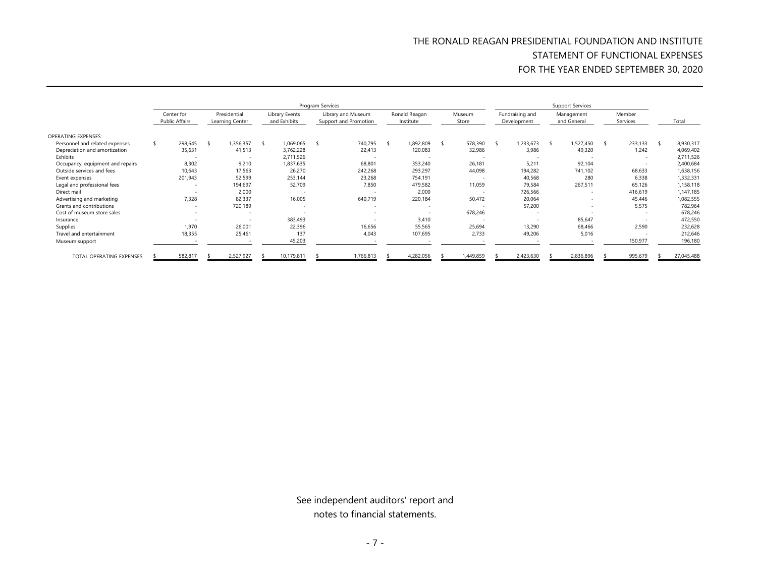# THE RONALD REAGAN PRESIDENTIAL FOUNDATION AND INSTITUTE STATEMENT OF FUNCTIONAL EXPENSES FOR THE YEAR ENDED SEPTEMBER 30, 2020

|                                  |                                     |                          |                                 |                          |                          | Program Services         |                          |                          | <b>Support Services</b> |           |                                |                                             |                            |                          |            |                                |  |                           |  |                    |       |
|----------------------------------|-------------------------------------|--------------------------|---------------------------------|--------------------------|--------------------------|--------------------------|--------------------------|--------------------------|-------------------------|-----------|--------------------------------|---------------------------------------------|----------------------------|--------------------------|------------|--------------------------------|--|---------------------------|--|--------------------|-------|
|                                  | Center for<br><b>Public Affairs</b> |                          | Presidential<br>Learning Center |                          |                          |                          |                          |                          |                         |           | Library Events<br>and Exhibits | Library and Museum<br>Support and Promotion | Ronald Reagan<br>Institute | Museum<br>Store          |            | Fundraising and<br>Development |  | Management<br>and General |  | Member<br>Services | Total |
| <b>OPERATING EXPENSES:</b>       |                                     |                          |                                 |                          |                          |                          |                          |                          |                         |           |                                |                                             |                            |                          |            |                                |  |                           |  |                    |       |
| Personnel and related expenses   |                                     | 298,645                  |                                 | 1,356,357                | 1,069,065                | 740,795                  | 1,892,809                | 578,390                  |                         | 1,233,673 |                                | 1.527.450                                   |                            | 233,133                  | 8,930,317  |                                |  |                           |  |                    |       |
| Depreciation and amortization    |                                     | 35,631                   |                                 | 41,513                   | 3,762,228                | 22,413                   | 120,083                  | 32,986                   |                         | 3,986     |                                | 49,320                                      |                            | 1,242                    | 4,069,402  |                                |  |                           |  |                    |       |
| Exhibits                         |                                     |                          |                                 |                          | 2,711,526                | $\overline{\phantom{a}}$ |                          | $\overline{\phantom{a}}$ |                         |           |                                |                                             |                            | $\overline{\phantom{a}}$ | 2,711,526  |                                |  |                           |  |                    |       |
| Occupancy, equipment and repairs |                                     | 8,302                    |                                 | 9.210                    | 1,837,635                | 68,801                   | 353,240                  | 26,181                   |                         | 5,211     |                                | 92,104                                      |                            |                          | 2,400,684  |                                |  |                           |  |                    |       |
| Outside services and fees        |                                     | 10,643                   |                                 | 17,563                   | 26,270                   | 242,268                  | 293,297                  | 44,098                   |                         | 194,282   |                                | 741,102                                     |                            | 68,633                   | 1,638,156  |                                |  |                           |  |                    |       |
| Event expenses                   |                                     | 201,943                  |                                 | 52,599                   | 253,144                  | 23,268                   | 754,191                  | $\overline{\phantom{a}}$ |                         | 40,568    |                                | 280                                         |                            | 6.338                    | 1,332,331  |                                |  |                           |  |                    |       |
| Legal and professional fees      |                                     |                          |                                 | 194,697                  | 52,709                   | 7,850                    | 479,582                  | 11,059                   |                         | 79,584    |                                | 267,511                                     |                            | 65,126                   | 1,158,118  |                                |  |                           |  |                    |       |
| Direct mail                      |                                     |                          |                                 | 2,000                    | $\overline{\phantom{a}}$ |                          | 2,000                    |                          |                         | 726,566   |                                |                                             |                            | 416,619                  | 1,147,185  |                                |  |                           |  |                    |       |
| Advertising and marketing        |                                     | 7,328                    |                                 | 82,337                   | 16,005                   | 640,719                  | 220,184                  | 50,472                   |                         | 20,064    |                                | $\overline{\phantom{a}}$                    |                            | 45,446                   | 1,082,555  |                                |  |                           |  |                    |       |
| Grants and contributions         |                                     | $\overline{\phantom{a}}$ |                                 | 720,189                  | $\overline{\phantom{a}}$ | $\overline{\phantom{a}}$ | $\overline{\phantom{a}}$ | $\overline{\phantom{a}}$ |                         | 57,200    |                                | $\overline{\phantom{a}}$                    |                            | 5,575                    | 782,964    |                                |  |                           |  |                    |       |
| Cost of museum store sales       |                                     |                          |                                 | $\overline{\phantom{a}}$ |                          | $\overline{\phantom{a}}$ |                          | 678,246                  |                         | . .       |                                |                                             |                            | $\sim$                   | 678,246    |                                |  |                           |  |                    |       |
| Insurance                        |                                     |                          |                                 |                          | 383,493                  | $\overline{\phantom{a}}$ | 3.410                    | $\overline{\phantom{a}}$ |                         |           |                                | 85,647                                      |                            | $\overline{\phantom{a}}$ | 472,550    |                                |  |                           |  |                    |       |
| Supplies                         |                                     | 1,970                    |                                 | 26,001                   | 22,396                   | 16,656                   | 55,565                   | 25,694                   |                         | 13,290    |                                | 68,466                                      |                            | 2,590                    | 232,628    |                                |  |                           |  |                    |       |
| Travel and entertainment         |                                     | 18,355                   |                                 | 25,461                   | 137                      | 4,043                    | 107,695                  | 2,733                    |                         | 49,206    |                                | 5,016                                       |                            | $\sim$                   | 212,646    |                                |  |                           |  |                    |       |
| Museum support                   |                                     |                          |                                 |                          | 45,203                   |                          |                          |                          |                         |           |                                |                                             |                            | 150,977                  | 196,180    |                                |  |                           |  |                    |       |
| TOTAL OPERATING EXPENSES         |                                     | 582,817                  |                                 | 2,527,927                | 10,179,811               | 1,766,813                | 4,282,056                | 449,859                  |                         | 2,423,630 |                                | 2,836,896                                   |                            | 995,679                  | 27,045,488 |                                |  |                           |  |                    |       |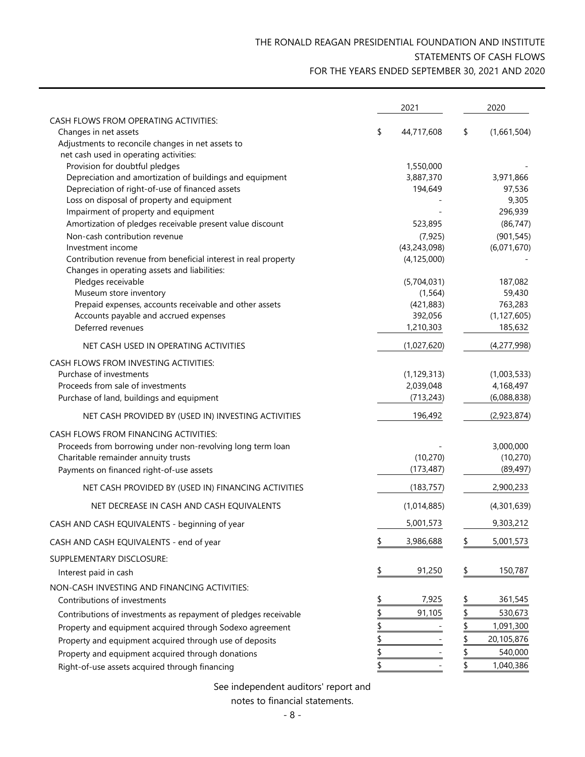# THE RONALD REAGAN PRESIDENTIAL FOUNDATION AND INSTITUTE STATEMENTS OF CASH FLOWS

|                                                                | 2021             | 2020              |
|----------------------------------------------------------------|------------------|-------------------|
| CASH FLOWS FROM OPERATING ACTIVITIES:                          |                  |                   |
| Changes in net assets                                          | \$<br>44,717,608 | \$<br>(1,661,504) |
| Adjustments to reconcile changes in net assets to              |                  |                   |
| net cash used in operating activities:                         |                  |                   |
| Provision for doubtful pledges                                 | 1,550,000        |                   |
| Depreciation and amortization of buildings and equipment       | 3,887,370        | 3,971,866         |
| Depreciation of right-of-use of financed assets                | 194,649          | 97,536            |
| Loss on disposal of property and equipment                     |                  | 9,305             |
| Impairment of property and equipment                           |                  | 296,939           |
| Amortization of pledges receivable present value discount      | 523,895          | (86, 747)         |
| Non-cash contribution revenue                                  | (7, 925)         | (901, 545)        |
| Investment income                                              | (43, 243, 098)   | (6,071,670)       |
| Contribution revenue from beneficial interest in real property | (4, 125, 000)    |                   |
| Changes in operating assets and liabilities:                   |                  |                   |
| Pledges receivable                                             | (5,704,031)      | 187,082           |
| Museum store inventory                                         | (1, 564)         | 59,430            |
| Prepaid expenses, accounts receivable and other assets         | (421, 883)       | 763,283           |
|                                                                |                  |                   |

FOR THE YEARS ENDED SEPTEMBER 30, 2021 AND 2020

| cash continuation revenue<br>Investment income                  | (1, 22)<br>(43, 243, 098) | (201, 272)<br>(6,071,670) |
|-----------------------------------------------------------------|---------------------------|---------------------------|
| Contribution revenue from beneficial interest in real property  | (4, 125, 000)             |                           |
| Changes in operating assets and liabilities:                    |                           |                           |
| Pledges receivable                                              | (5,704,031)               | 187,082                   |
| Museum store inventory                                          | (1, 564)                  | 59,430                    |
| Prepaid expenses, accounts receivable and other assets          | (421, 883)                | 763,283                   |
| Accounts payable and accrued expenses                           | 392,056                   | (1, 127, 605)             |
| Deferred revenues                                               | 1,210,303                 | 185,632                   |
| NET CASH USED IN OPERATING ACTIVITIES                           | (1,027,620)               | (4,277,998)               |
| CASH FLOWS FROM INVESTING ACTIVITIES:                           |                           |                           |
| Purchase of investments                                         | (1, 129, 313)             | (1,003,533)               |
| Proceeds from sale of investments                               | 2,039,048                 | 4,168,497                 |
| Purchase of land, buildings and equipment                       | (713, 243)                | (6,088,838)               |
| NET CASH PROVIDED BY (USED IN) INVESTING ACTIVITIES             | 196,492                   | (2,923,874)               |
| CASH FLOWS FROM FINANCING ACTIVITIES:                           |                           |                           |
| Proceeds from borrowing under non-revolving long term loan      |                           | 3,000,000                 |
| Charitable remainder annuity trusts                             | (10, 270)                 | (10, 270)                 |
| Payments on financed right-of-use assets                        | (173, 487)                | (89, 497)                 |
| NET CASH PROVIDED BY (USED IN) FINANCING ACTIVITIES             | (183, 757)                | 2,900,233                 |
| NET DECREASE IN CASH AND CASH EQUIVALENTS                       | (1,014,885)               | (4,301,639)               |
| CASH AND CASH EQUIVALENTS - beginning of year                   | 5,001,573                 | 9,303,212                 |
| CASH AND CASH EQUIVALENTS - end of year                         | 3,986,688                 | \$<br>5,001,573           |
| SUPPLEMENTARY DISCLOSURE:                                       |                           |                           |
| Interest paid in cash                                           | 91,250                    | \$<br>150,787             |
| NON-CASH INVESTING AND FINANCING ACTIVITIES:                    |                           |                           |
| Contributions of investments                                    | 7,925                     | 361,545                   |
| Contributions of investments as repayment of pledges receivable | 91,105                    | 530,673                   |
| Property and equipment acquired through Sodexo agreement        | \$                        | \$<br>1,091,300           |
|                                                                 | \$                        | 20,105,876                |
| Property and equipment acquired through use of deposits         | \$                        | 540,000                   |
| Property and equipment acquired through donations               |                           |                           |
| Right-of-use assets acquired through financing                  |                           | 1,040,386                 |

See independent auditors' report and

notes to financial statements.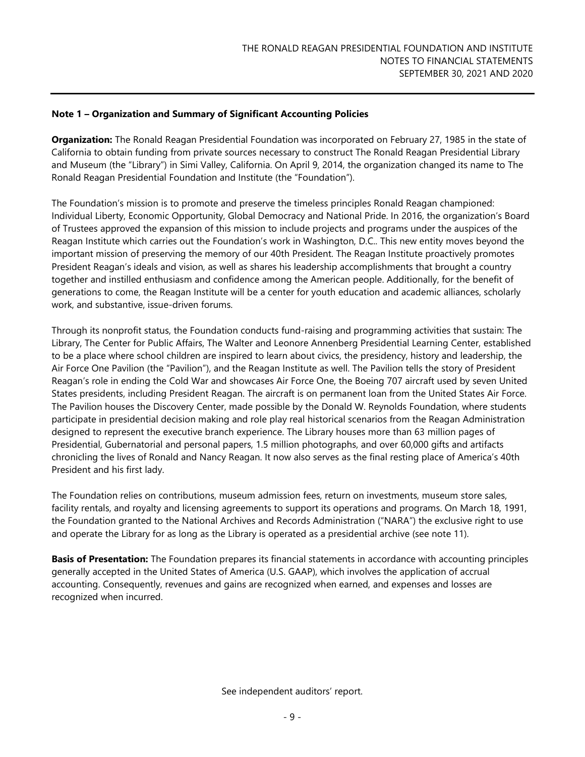**Organization:** The Ronald Reagan Presidential Foundation was incorporated on February 27, 1985 in the state of California to obtain funding from private sources necessary to construct The Ronald Reagan Presidential Library and Museum (the "Library") in Simi Valley, California. On April 9, 2014, the organization changed its name to The Ronald Reagan Presidential Foundation and Institute (the "Foundation").

The Foundation's mission is to promote and preserve the timeless principles Ronald Reagan championed: Individual Liberty, Economic Opportunity, Global Democracy and National Pride. In 2016, the organization's Board of Trustees approved the expansion of this mission to include projects and programs under the auspices of the Reagan Institute which carries out the Foundation's work in Washington, D.C.. This new entity moves beyond the important mission of preserving the memory of our 40th President. The Reagan Institute proactively promotes President Reagan's ideals and vision, as well as shares his leadership accomplishments that brought a country together and instilled enthusiasm and confidence among the American people. Additionally, for the benefit of generations to come, the Reagan Institute will be a center for youth education and academic alliances, scholarly work, and substantive, issue-driven forums.

Through its nonprofit status, the Foundation conducts fund-raising and programming activities that sustain: The Library, The Center for Public Affairs, The Walter and Leonore Annenberg Presidential Learning Center, established to be a place where school children are inspired to learn about civics, the presidency, history and leadership, the Air Force One Pavilion (the "Pavilion"), and the Reagan Institute as well. The Pavilion tells the story of President Reagan's role in ending the Cold War and showcases Air Force One, the Boeing 707 aircraft used by seven United States presidents, including President Reagan. The aircraft is on permanent loan from the United States Air Force. The Pavilion houses the Discovery Center, made possible by the Donald W. Reynolds Foundation, where students participate in presidential decision making and role play real historical scenarios from the Reagan Administration designed to represent the executive branch experience. The Library houses more than 63 million pages of Presidential, Gubernatorial and personal papers, 1.5 million photographs, and over 60,000 gifts and artifacts chronicling the lives of Ronald and Nancy Reagan. It now also serves as the final resting place of America's 40th President and his first lady.

The Foundation relies on contributions, museum admission fees, return on investments, museum store sales, facility rentals, and royalty and licensing agreements to support its operations and programs. On March 18, 1991, the Foundation granted to the National Archives and Records Administration ("NARA") the exclusive right to use and operate the Library for as long as the Library is operated as a presidential archive (see note 11).

**Basis of Presentation:** The Foundation prepares its financial statements in accordance with accounting principles generally accepted in the United States of America (U.S. GAAP), which involves the application of accrual accounting. Consequently, revenues and gains are recognized when earned, and expenses and losses are recognized when incurred.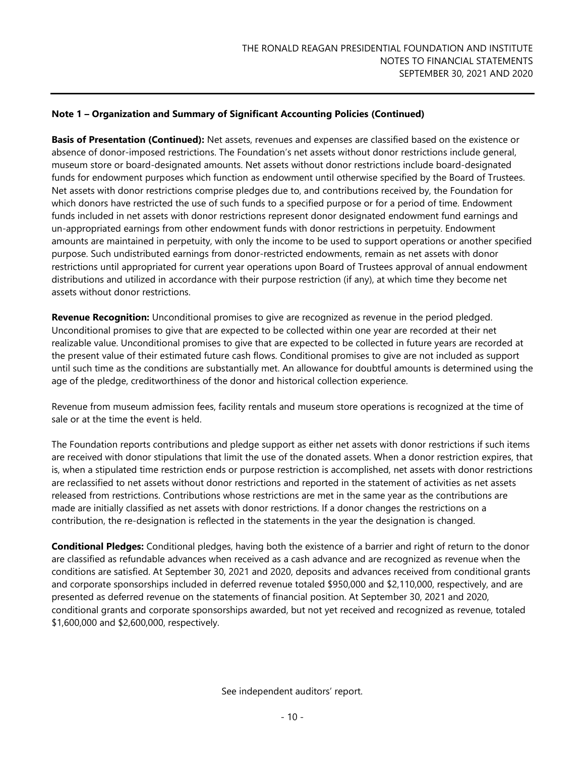**Basis of Presentation (Continued):** Net assets, revenues and expenses are classified based on the existence or absence of donor-imposed restrictions. The Foundation's net assets without donor restrictions include general, museum store or board-designated amounts. Net assets without donor restrictions include board-designated funds for endowment purposes which function as endowment until otherwise specified by the Board of Trustees. Net assets with donor restrictions comprise pledges due to, and contributions received by, the Foundation for which donors have restricted the use of such funds to a specified purpose or for a period of time. Endowment funds included in net assets with donor restrictions represent donor designated endowment fund earnings and un-appropriated earnings from other endowment funds with donor restrictions in perpetuity. Endowment amounts are maintained in perpetuity, with only the income to be used to support operations or another specified purpose. Such undistributed earnings from donor-restricted endowments, remain as net assets with donor restrictions until appropriated for current year operations upon Board of Trustees approval of annual endowment distributions and utilized in accordance with their purpose restriction (if any), at which time they become net assets without donor restrictions.

**Revenue Recognition:** Unconditional promises to give are recognized as revenue in the period pledged. Unconditional promises to give that are expected to be collected within one year are recorded at their net realizable value. Unconditional promises to give that are expected to be collected in future years are recorded at the present value of their estimated future cash flows. Conditional promises to give are not included as support until such time as the conditions are substantially met. An allowance for doubtful amounts is determined using the age of the pledge, creditworthiness of the donor and historical collection experience.

Revenue from museum admission fees, facility rentals and museum store operations is recognized at the time of sale or at the time the event is held.

The Foundation reports contributions and pledge support as either net assets with donor restrictions if such items are received with donor stipulations that limit the use of the donated assets. When a donor restriction expires, that is, when a stipulated time restriction ends or purpose restriction is accomplished, net assets with donor restrictions are reclassified to net assets without donor restrictions and reported in the statement of activities as net assets released from restrictions. Contributions whose restrictions are met in the same year as the contributions are made are initially classified as net assets with donor restrictions. If a donor changes the restrictions on a contribution, the re-designation is reflected in the statements in the year the designation is changed.

**Conditional Pledges:** Conditional pledges, having both the existence of a barrier and right of return to the donor are classified as refundable advances when received as a cash advance and are recognized as revenue when the conditions are satisfied. At September 30, 2021 and 2020, deposits and advances received from conditional grants and corporate sponsorships included in deferred revenue totaled \$950,000 and \$2,110,000, respectively, and are presented as deferred revenue on the statements of financial position. At September 30, 2021 and 2020, conditional grants and corporate sponsorships awarded, but not yet received and recognized as revenue, totaled \$1,600,000 and \$2,600,000, respectively.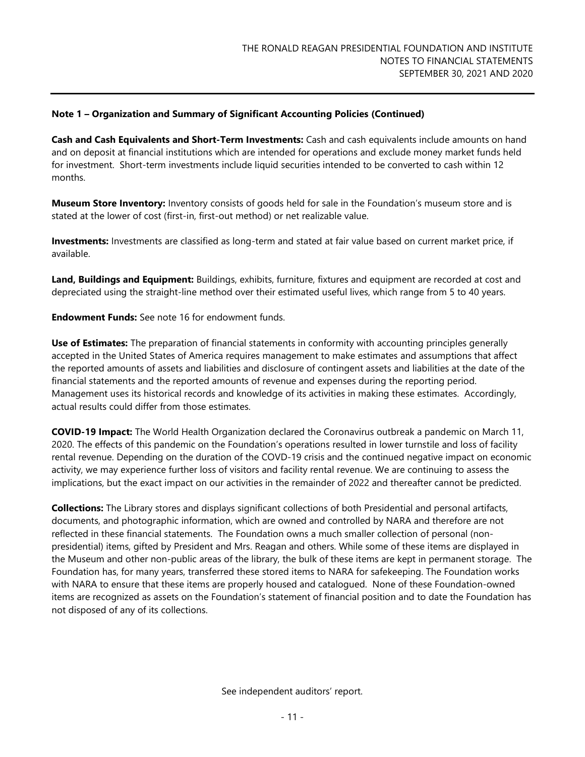**Cash and Cash Equivalents and Short-Term Investments:** Cash and cash equivalents include amounts on hand and on deposit at financial institutions which are intended for operations and exclude money market funds held for investment. Short-term investments include liquid securities intended to be converted to cash within 12 months.

**Museum Store Inventory:** Inventory consists of goods held for sale in the Foundation's museum store and is stated at the lower of cost (first-in, first-out method) or net realizable value.

**Investments:** Investments are classified as long-term and stated at fair value based on current market price, if available.

**Land, Buildings and Equipment:** Buildings, exhibits, furniture, fixtures and equipment are recorded at cost and depreciated using the straight-line method over their estimated useful lives, which range from 5 to 40 years.

**Endowment Funds:** See note 16 for endowment funds.

**Use of Estimates:** The preparation of financial statements in conformity with accounting principles generally accepted in the United States of America requires management to make estimates and assumptions that affect the reported amounts of assets and liabilities and disclosure of contingent assets and liabilities at the date of the financial statements and the reported amounts of revenue and expenses during the reporting period. Management uses its historical records and knowledge of its activities in making these estimates. Accordingly, actual results could differ from those estimates.

**COVID-19 Impact:** The World Health Organization declared the Coronavirus outbreak a pandemic on March 11, 2020. The effects of this pandemic on the Foundation's operations resulted in lower turnstile and loss of facility rental revenue. Depending on the duration of the COVD-19 crisis and the continued negative impact on economic activity, we may experience further loss of visitors and facility rental revenue. We are continuing to assess the implications, but the exact impact on our activities in the remainder of 2022 and thereafter cannot be predicted.

**Collections:** The Library stores and displays significant collections of both Presidential and personal artifacts, documents, and photographic information, which are owned and controlled by NARA and therefore are not reflected in these financial statements. The Foundation owns a much smaller collection of personal (nonpresidential) items, gifted by President and Mrs. Reagan and others. While some of these items are displayed in the Museum and other non-public areas of the library, the bulk of these items are kept in permanent storage. The Foundation has, for many years, transferred these stored items to NARA for safekeeping. The Foundation works with NARA to ensure that these items are properly housed and catalogued. None of these Foundation-owned items are recognized as assets on the Foundation's statement of financial position and to date the Foundation has not disposed of any of its collections.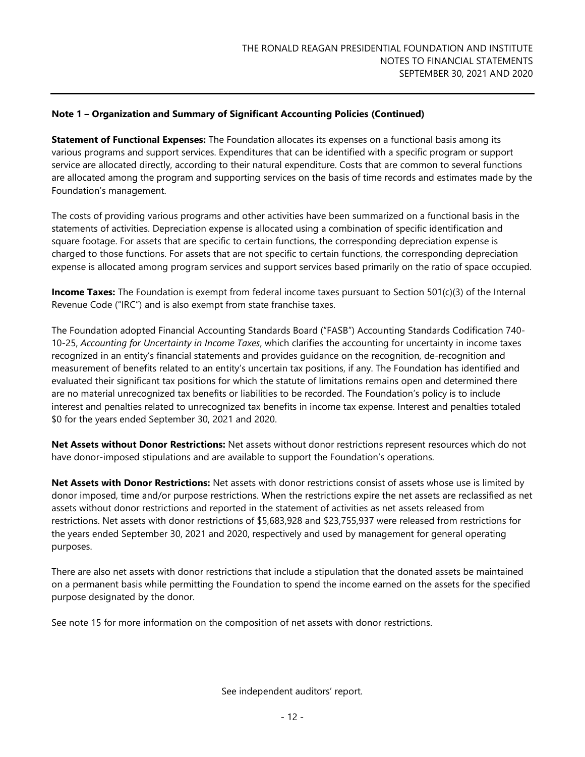**Statement of Functional Expenses:** The Foundation allocates its expenses on a functional basis among its various programs and support services. Expenditures that can be identified with a specific program or support service are allocated directly, according to their natural expenditure. Costs that are common to several functions are allocated among the program and supporting services on the basis of time records and estimates made by the Foundation's management.

The costs of providing various programs and other activities have been summarized on a functional basis in the statements of activities. Depreciation expense is allocated using a combination of specific identification and square footage. For assets that are specific to certain functions, the corresponding depreciation expense is charged to those functions. For assets that are not specific to certain functions, the corresponding depreciation expense is allocated among program services and support services based primarily on the ratio of space occupied.

**Income Taxes:** The Foundation is exempt from federal income taxes pursuant to Section 501(c)(3) of the Internal Revenue Code ("IRC") and is also exempt from state franchise taxes.

The Foundation adopted Financial Accounting Standards Board ("FASB") Accounting Standards Codification 740- 10-25, *Accounting for Uncertainty in Income Taxes*, which clarifies the accounting for uncertainty in income taxes recognized in an entity's financial statements and provides guidance on the recognition, de-recognition and measurement of benefits related to an entity's uncertain tax positions, if any. The Foundation has identified and evaluated their significant tax positions for which the statute of limitations remains open and determined there are no material unrecognized tax benefits or liabilities to be recorded. The Foundation's policy is to include interest and penalties related to unrecognized tax benefits in income tax expense. Interest and penalties totaled \$0 for the years ended September 30, 2021 and 2020.

**Net Assets without Donor Restrictions:** Net assets without donor restrictions represent resources which do not have donor-imposed stipulations and are available to support the Foundation's operations.

**Net Assets with Donor Restrictions:** Net assets with donor restrictions consist of assets whose use is limited by donor imposed, time and/or purpose restrictions. When the restrictions expire the net assets are reclassified as net assets without donor restrictions and reported in the statement of activities as net assets released from restrictions. Net assets with donor restrictions of \$5,683,928 and \$23,755,937 were released from restrictions for the years ended September 30, 2021 and 2020, respectively and used by management for general operating purposes.

There are also net assets with donor restrictions that include a stipulation that the donated assets be maintained on a permanent basis while permitting the Foundation to spend the income earned on the assets for the specified purpose designated by the donor.

See note 15 for more information on the composition of net assets with donor restrictions.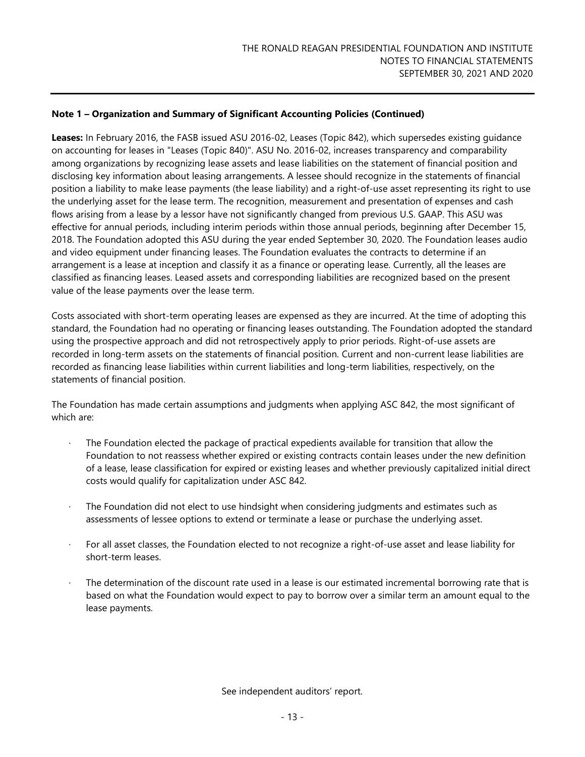**Leases:** In February 2016, the FASB issued ASU 2016-02, Leases (Topic 842), which supersedes existing guidance on accounting for leases in "Leases (Topic 840)". ASU No. 2016-02, increases transparency and comparability among organizations by recognizing lease assets and lease liabilities on the statement of financial position and disclosing key information about leasing arrangements. A lessee should recognize in the statements of financial position a liability to make lease payments (the lease liability) and a right-of-use asset representing its right to use the underlying asset for the lease term. The recognition, measurement and presentation of expenses and cash flows arising from a lease by a lessor have not significantly changed from previous U.S. GAAP. This ASU was effective for annual periods, including interim periods within those annual periods, beginning after December 15, 2018. The Foundation adopted this ASU during the year ended September 30, 2020. The Foundation leases audio and video equipment under financing leases. The Foundation evaluates the contracts to determine if an arrangement is a lease at inception and classify it as a finance or operating lease. Currently, all the leases are classified as financing leases. Leased assets and corresponding liabilities are recognized based on the present value of the lease payments over the lease term.

Costs associated with short-term operating leases are expensed as they are incurred. At the time of adopting this standard, the Foundation had no operating or financing leases outstanding. The Foundation adopted the standard using the prospective approach and did not retrospectively apply to prior periods. Right-of-use assets are recorded in long-term assets on the statements of financial position. Current and non-current lease liabilities are recorded as financing lease liabilities within current liabilities and long-term liabilities, respectively, on the statements of financial position.

The Foundation has made certain assumptions and judgments when applying ASC 842, the most significant of which are:

- The Foundation elected the package of practical expedients available for transition that allow the Foundation to not reassess whether expired or existing contracts contain leases under the new definition of a lease, lease classification for expired or existing leases and whether previously capitalized initial direct costs would qualify for capitalization under ASC 842.
- · The Foundation did not elect to use hindsight when considering judgments and estimates such as assessments of lessee options to extend or terminate a lease or purchase the underlying asset.
- · For all asset classes, the Foundation elected to not recognize a right-of-use asset and lease liability for short-term leases.
- The determination of the discount rate used in a lease is our estimated incremental borrowing rate that is based on what the Foundation would expect to pay to borrow over a similar term an amount equal to the lease payments.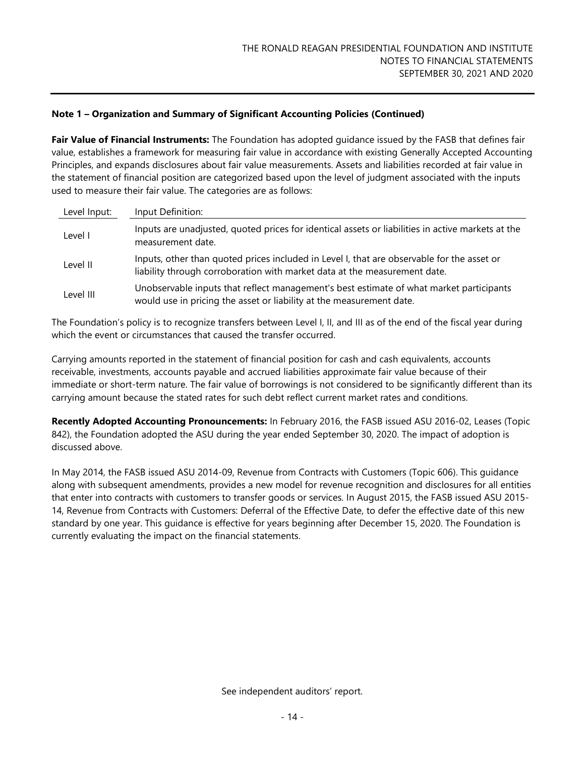**Fair Value of Financial Instruments:** The Foundation has adopted guidance issued by the FASB that defines fair value, establishes a framework for measuring fair value in accordance with existing Generally Accepted Accounting Principles, and expands disclosures about fair value measurements. Assets and liabilities recorded at fair value in the statement of financial position are categorized based upon the level of judgment associated with the inputs used to measure their fair value. The categories are as follows:

| Level Input: | Input Definition:                                                                                                                                                       |
|--------------|-------------------------------------------------------------------------------------------------------------------------------------------------------------------------|
| Level I      | Inputs are unadjusted, quoted prices for identical assets or liabilities in active markets at the<br>measurement date.                                                  |
| Level II     | Inputs, other than quoted prices included in Level I, that are observable for the asset or<br>liability through corroboration with market data at the measurement date. |
| Level III    | Unobservable inputs that reflect management's best estimate of what market participants<br>would use in pricing the asset or liability at the measurement date.         |

The Foundation's policy is to recognize transfers between Level I, II, and III as of the end of the fiscal year during which the event or circumstances that caused the transfer occurred.

Carrying amounts reported in the statement of financial position for cash and cash equivalents, accounts receivable, investments, accounts payable and accrued liabilities approximate fair value because of their immediate or short-term nature. The fair value of borrowings is not considered to be significantly different than its carrying amount because the stated rates for such debt reflect current market rates and conditions.

**Recently Adopted Accounting Pronouncements:** In February 2016, the FASB issued ASU 2016-02, Leases (Topic 842), the Foundation adopted the ASU during the year ended September 30, 2020. The impact of adoption is discussed above.

In May 2014, the FASB issued ASU 2014-09, Revenue from Contracts with Customers (Topic 606). This guidance along with subsequent amendments, provides a new model for revenue recognition and disclosures for all entities that enter into contracts with customers to transfer goods or services. In August 2015, the FASB issued ASU 2015- 14, Revenue from Contracts with Customers: Deferral of the Effective Date, to defer the effective date of this new standard by one year. This guidance is effective for years beginning after December 15, 2020. The Foundation is currently evaluating the impact on the financial statements.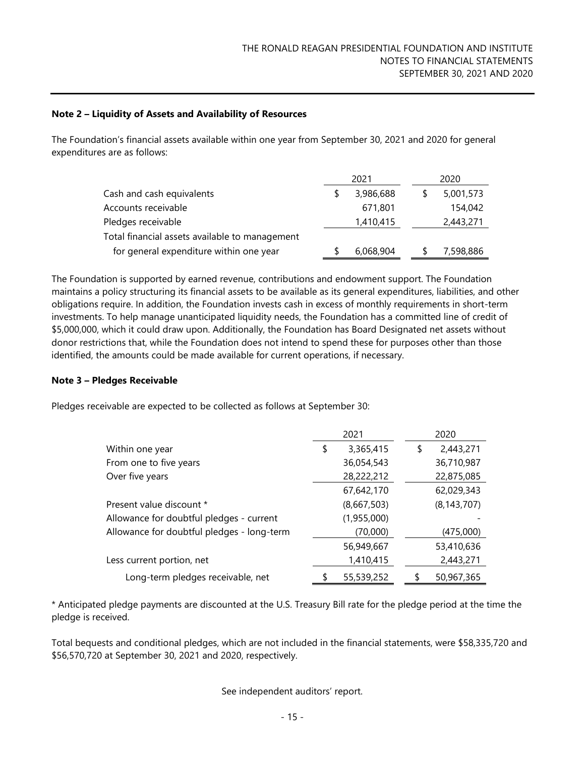#### **Note 2 – Liquidity of Assets and Availability of Resources**

The Foundation's financial assets available within one year from September 30, 2021 and 2020 for general expenditures are as follows:

|                                                | 2021      | 2020      |
|------------------------------------------------|-----------|-----------|
| Cash and cash equivalents                      | 3,986,688 | 5,001,573 |
| Accounts receivable                            | 671.801   | 154,042   |
| Pledges receivable                             | 1,410,415 | 2,443,271 |
| Total financial assets available to management |           |           |
| for general expenditure within one year        | 6,068,904 | 7,598,886 |

The Foundation is supported by earned revenue, contributions and endowment support. The Foundation maintains a policy structuring its financial assets to be available as its general expenditures, liabilities, and other obligations require. In addition, the Foundation invests cash in excess of monthly requirements in short-term investments. To help manage unanticipated liquidity needs, the Foundation has a committed line of credit of \$5,000,000, which it could draw upon. Additionally, the Foundation has Board Designated net assets without donor restrictions that, while the Foundation does not intend to spend these for purposes other than those identified, the amounts could be made available for current operations, if necessary.

#### **Note 3 – Pledges Receivable**

Pledges receivable are expected to be collected as follows at September 30:

|                                            | 2021            |    | 2020          |
|--------------------------------------------|-----------------|----|---------------|
| Within one year                            | \$<br>3,365,415 | \$ | 2,443,271     |
| From one to five years                     | 36,054,543      |    | 36,710,987    |
| Over five years                            | 28,222,212      |    | 22,875,085    |
|                                            | 67,642,170      |    | 62,029,343    |
| Present value discount *                   | (8,667,503)     |    | (8, 143, 707) |
| Allowance for doubtful pledges - current   | (1,955,000)     |    |               |
| Allowance for doubtful pledges - long-term | (70,000)        |    | (475,000)     |
|                                            | 56,949,667      |    | 53,410,636    |
| Less current portion, net                  | 1,410,415       |    | 2,443,271     |
| Long-term pledges receivable, net          | 55,539,252      |    | 50,967,365    |

\* Anticipated pledge payments are discounted at the U.S. Treasury Bill rate for the pledge period at the time the pledge is received.

Total bequests and conditional pledges, which are not included in the financial statements, were \$58,335,720 and \$56,570,720 at September 30, 2021 and 2020, respectively.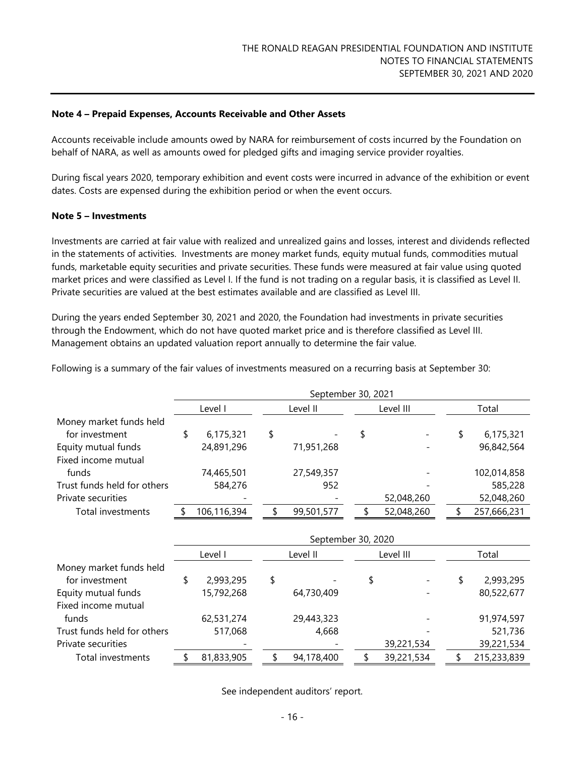#### **Note 4 – Prepaid Expenses, Accounts Receivable and Other Assets**

Accounts receivable include amounts owed by NARA for reimbursement of costs incurred by the Foundation on behalf of NARA, as well as amounts owed for pledged gifts and imaging service provider royalties.

During fiscal years 2020, temporary exhibition and event costs were incurred in advance of the exhibition or event dates. Costs are expensed during the exhibition period or when the event occurs.

#### **Note 5 – Investments**

Investments are carried at fair value with realized and unrealized gains and losses, interest and dividends reflected in the statements of activities. Investments are money market funds, equity mutual funds, commodities mutual funds, marketable equity securities and private securities. These funds were measured at fair value using quoted market prices and were classified as Level I. If the fund is not trading on a regular basis, it is classified as Level II. Private securities are valued at the best estimates available and are classified as Level III.

During the years ended September 30, 2021 and 2020, the Foundation had investments in private securities through the Endowment, which do not have quoted market price and is therefore classified as Level III. Management obtains an updated valuation report annually to determine the fair value.

|                             | Level I         | Level II |    |            | Level III  | Total           |
|-----------------------------|-----------------|----------|----|------------|------------|-----------------|
| Money market funds held     |                 |          |    |            |            |                 |
| for investment              | \$<br>6,175,321 |          | \$ |            | \$         | \$<br>6,175,321 |
| Equity mutual funds         | 24,891,296      |          |    | 71,951,268 |            | 96,842,564      |
| Fixed income mutual         |                 |          |    |            |            |                 |
| funds                       | 74,465,501      |          |    | 27,549,357 |            | 102,014,858     |
| Trust funds held for others | 584,276         |          |    | 952        |            | 585,228         |
| Private securities          |                 |          |    |            | 52,048,260 | 52,048,260      |
| Total investments           | 106,116,394     |          |    | 99,501,577 | 52,048,260 | 257,666,231     |

Following is a summary of the fair values of investments measured on a recurring basis at September 30:

|                             | September 30, 2020 |            |  |          |            |  |           |            |       |    |             |
|-----------------------------|--------------------|------------|--|----------|------------|--|-----------|------------|-------|----|-------------|
|                             | Level I            |            |  | Level II |            |  | Level III |            | Total |    |             |
| Money market funds held     |                    |            |  |          |            |  |           |            |       |    |             |
| for investment              | \$                 | 2,993,295  |  | \$       |            |  | \$        |            |       | \$ | 2,993,295   |
| Equity mutual funds         |                    | 15,792,268 |  |          | 64,730,409 |  |           |            |       |    | 80,522,677  |
| Fixed income mutual         |                    |            |  |          |            |  |           |            |       |    |             |
| funds                       |                    | 62,531,274 |  |          | 29,443,323 |  |           |            |       |    | 91,974,597  |
| Trust funds held for others |                    | 517,068    |  |          | 4,668      |  |           |            |       |    | 521,736     |
| Private securities          |                    |            |  |          |            |  |           | 39,221,534 |       |    | 39,221,534  |
| Total investments           |                    | 81,833,905 |  |          | 94,178,400 |  |           | 39,221,534 |       |    | 215,233,839 |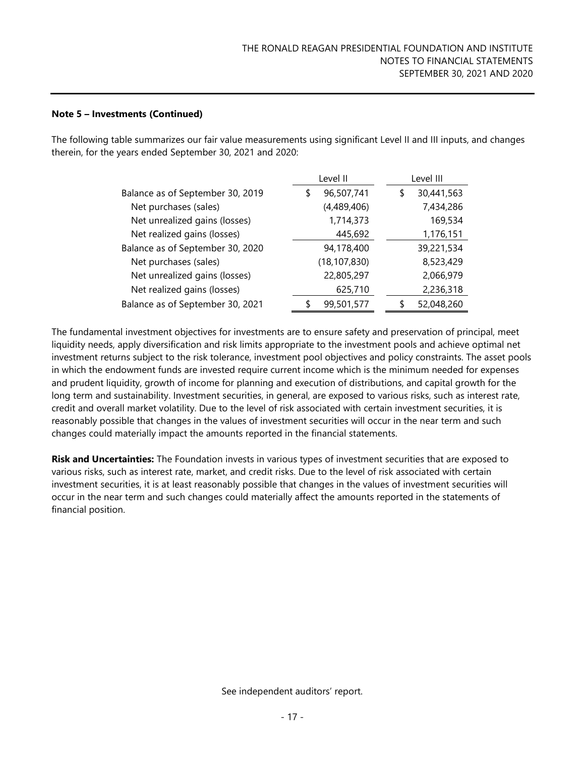#### **Note 5 – Investments (Continued)**

The following table summarizes our fair value measurements using significant Level II and III inputs, and changes therein, for the years ended September 30, 2021 and 2020:

|                                  | Level II        |   | Level III  |
|----------------------------------|-----------------|---|------------|
| Balance as of September 30, 2019 | 96,507,741<br>S | S | 30,441,563 |
| Net purchases (sales)            | (4,489,406)     |   | 7,434,286  |
| Net unrealized gains (losses)    | 1,714,373       |   | 169,534    |
| Net realized gains (losses)      | 445,692         |   | 1,176,151  |
| Balance as of September 30, 2020 | 94,178,400      |   | 39,221,534 |
| Net purchases (sales)            | (18, 107, 830)  |   | 8,523,429  |
| Net unrealized gains (losses)    | 22,805,297      |   | 2,066,979  |
| Net realized gains (losses)      | 625,710         |   | 2,236,318  |
| Balance as of September 30, 2021 | 99,501,577      |   | 52,048,260 |

The fundamental investment objectives for investments are to ensure safety and preservation of principal, meet liquidity needs, apply diversification and risk limits appropriate to the investment pools and achieve optimal net investment returns subject to the risk tolerance, investment pool objectives and policy constraints. The asset pools in which the endowment funds are invested require current income which is the minimum needed for expenses and prudent liquidity, growth of income for planning and execution of distributions, and capital growth for the long term and sustainability. Investment securities, in general, are exposed to various risks, such as interest rate, credit and overall market volatility. Due to the level of risk associated with certain investment securities, it is reasonably possible that changes in the values of investment securities will occur in the near term and such changes could materially impact the amounts reported in the financial statements.

**Risk and Uncertainties:** The Foundation invests in various types of investment securities that are exposed to various risks, such as interest rate, market, and credit risks. Due to the level of risk associated with certain investment securities, it is at least reasonably possible that changes in the values of investment securities will occur in the near term and such changes could materially affect the amounts reported in the statements of financial position.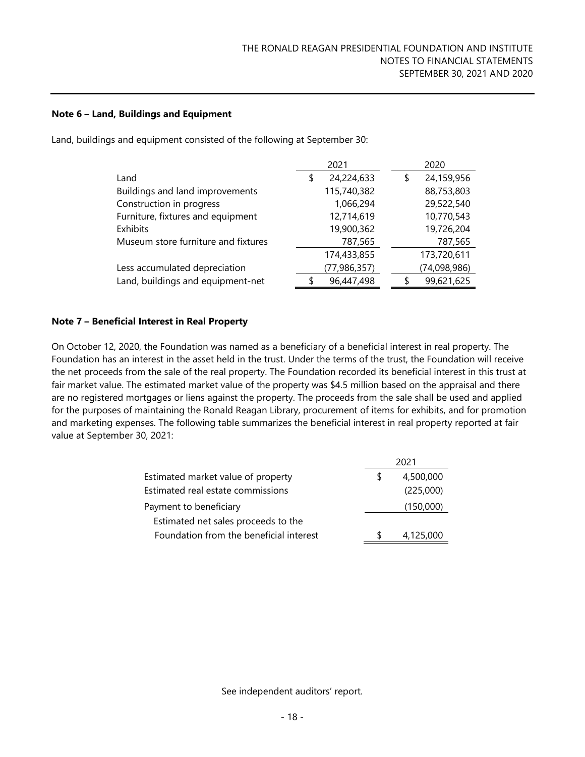## **Note 6 – Land, Buildings and Equipment**

Land, buildings and equipment consisted of the following at September 30:

|                                     |   | 2021           |    | 2020         |
|-------------------------------------|---|----------------|----|--------------|
| Land                                | S | 24,224,633     | \$ | 24,159,956   |
| Buildings and land improvements     |   | 115,740,382    |    | 88,753,803   |
| Construction in progress            |   | 1,066,294      |    | 29,522,540   |
| Furniture, fixtures and equipment   |   | 12,714,619     |    | 10,770,543   |
| Exhibits                            |   | 19,900,362     |    | 19,726,204   |
| Museum store furniture and fixtures |   | 787,565        |    | 787,565      |
|                                     |   | 174,433,855    |    | 173,720,611  |
| Less accumulated depreciation       |   | (77, 986, 357) |    | (74,098,986) |
| Land, buildings and equipment-net   | ፍ | 96,447,498     | Œ  | 99,621,625   |

#### **Note 7 – Beneficial Interest in Real Property**

On October 12, 2020, the Foundation was named as a beneficiary of a beneficial interest in real property. The Foundation has an interest in the asset held in the trust. Under the terms of the trust, the Foundation will receive the net proceeds from the sale of the real property. The Foundation recorded its beneficial interest in this trust at fair market value. The estimated market value of the property was \$4.5 million based on the appraisal and there are no registered mortgages or liens against the property. The proceeds from the sale shall be used and applied for the purposes of maintaining the Ronald Reagan Library, procurement of items for exhibits, and for promotion and marketing expenses. The following table summarizes the beneficial interest in real property reported at fair value at September 30, 2021:

|                                         |   | 2021      |
|-----------------------------------------|---|-----------|
| Estimated market value of property      | К | 4,500,000 |
| Estimated real estate commissions       |   | (225,000) |
| Payment to beneficiary                  |   | (150,000) |
| Estimated net sales proceeds to the     |   |           |
| Foundation from the beneficial interest |   | 4,125,000 |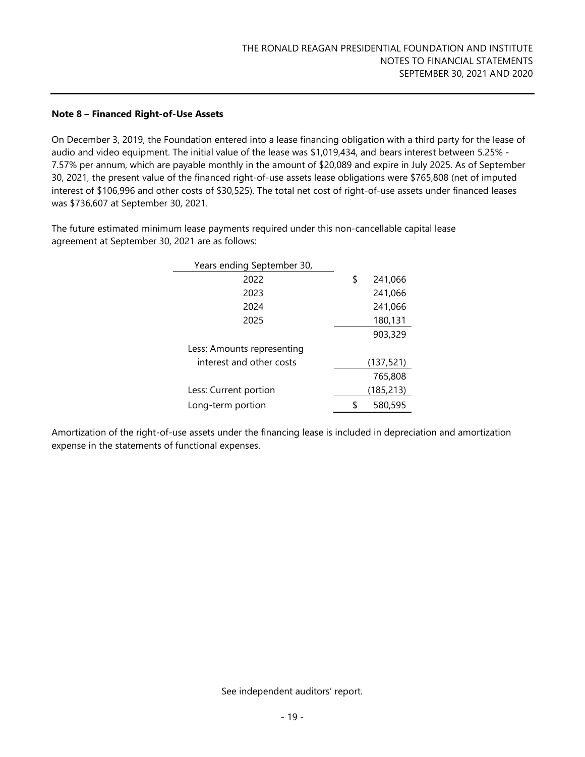#### **Note 8 – Financed Right-of-Use Assets**

On December 3, 2019, the Foundation entered into a lease financing obligation with a third party for the lease of audio and video equipment. The initial value of the lease was \$1,019,434, and bears interest between 5.25% - 7.57% per annum, which are payable monthly in the amount of \$20,089 and expire in July 2025. As of September 30, 2021, the present value of the financed right-of-use assets lease obligations were \$765,808 (net of imputed interest of \$106,996 and other costs of \$30,525). The total net cost of right-of-use assets under financed leases was \$736,607 at September 30, 2021.

The future estimated minimum lease payments required under this non-cancellable capital lease agreement at September 30, 2021 are as follows:

| Years ending September 30, |               |
|----------------------------|---------------|
| 2022                       | \$<br>241,066 |
| 2023                       | 241,066       |
| 2024                       | 241,066       |
| 2025                       | 180,131       |
|                            | 903,329       |
| Less: Amounts representing |               |
| interest and other costs   | (137, 521)    |
|                            | 765,808       |
| Less: Current portion      | (185, 213)    |
| Long-term portion          | 580,595       |

Amortization of the right-of-use assets under the financing lease is included in depreciation and amortization expense in the statements of functional expenses.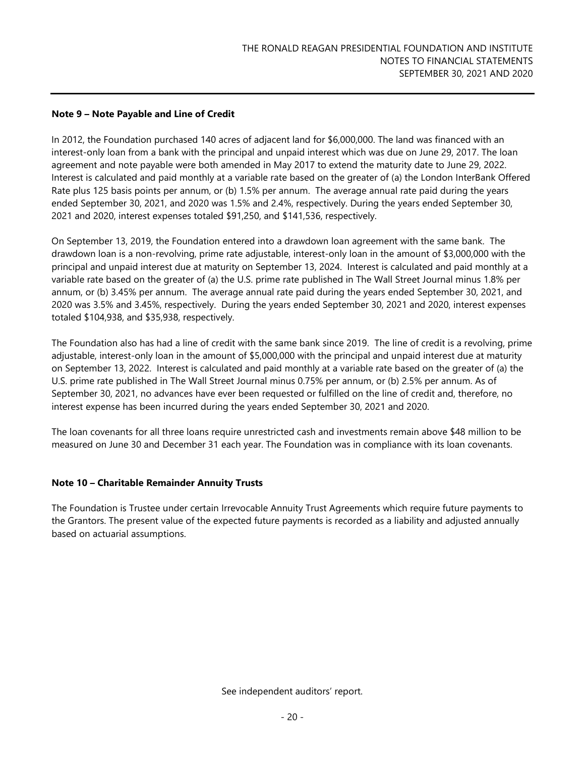## **Note 9 – Note Payable and Line of Credit**

In 2012, the Foundation purchased 140 acres of adjacent land for \$6,000,000. The land was financed with an interest-only loan from a bank with the principal and unpaid interest which was due on June 29, 2017. The loan agreement and note payable were both amended in May 2017 to extend the maturity date to June 29, 2022. Interest is calculated and paid monthly at a variable rate based on the greater of (a) the London InterBank Offered Rate plus 125 basis points per annum, or (b) 1.5% per annum. The average annual rate paid during the years ended September 30, 2021, and 2020 was 1.5% and 2.4%, respectively. During the years ended September 30, 2021 and 2020, interest expenses totaled \$91,250, and \$141,536, respectively.

On September 13, 2019, the Foundation entered into a drawdown loan agreement with the same bank. The drawdown loan is a non-revolving, prime rate adjustable, interest-only loan in the amount of \$3,000,000 with the principal and unpaid interest due at maturity on September 13, 2024. Interest is calculated and paid monthly at a variable rate based on the greater of (a) the U.S. prime rate published in The Wall Street Journal minus 1.8% per annum, or (b) 3.45% per annum. The average annual rate paid during the years ended September 30, 2021, and 2020 was 3.5% and 3.45%, respectively. During the years ended September 30, 2021 and 2020, interest expenses totaled \$104,938, and \$35,938, respectively.

The Foundation also has had a line of credit with the same bank since 2019. The line of credit is a revolving, prime adjustable, interest-only loan in the amount of \$5,000,000 with the principal and unpaid interest due at maturity on September 13, 2022. Interest is calculated and paid monthly at a variable rate based on the greater of (a) the U.S. prime rate published in The Wall Street Journal minus 0.75% per annum, or (b) 2.5% per annum. As of September 30, 2021, no advances have ever been requested or fulfilled on the line of credit and, therefore, no interest expense has been incurred during the years ended September 30, 2021 and 2020.

The loan covenants for all three loans require unrestricted cash and investments remain above \$48 million to be measured on June 30 and December 31 each year. The Foundation was in compliance with its loan covenants.

## **Note 10 – Charitable Remainder Annuity Trusts**

The Foundation is Trustee under certain Irrevocable Annuity Trust Agreements which require future payments to the Grantors. The present value of the expected future payments is recorded as a liability and adjusted annually based on actuarial assumptions.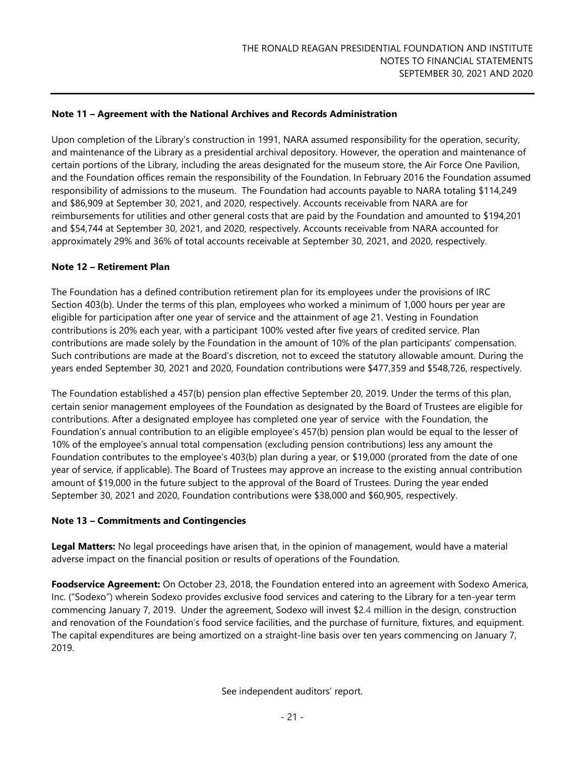## **Note 11 – Agreement with the National Archives and Records Administration**

Upon completion of the Library's construction in 1991, NARA assumed responsibility for the operation, security, and maintenance of the Library as a presidential archival depository. However, the operation and maintenance of certain portions of the Library, including the areas designated for the museum store, the Air Force One Pavilion, and the Foundation offices remain the responsibility of the Foundation. In February 2016 the Foundation assumed responsibility of admissions to the museum. The Foundation had accounts payable to NARA totaling \$114,249 and \$86,909 at September 30, 2021, and 2020, respectively. Accounts receivable from NARA are for reimbursements for utilities and other general costs that are paid by the Foundation and amounted to \$194,201 and \$54,744 at September 30, 2021, and 2020, respectively. Accounts receivable from NARA accounted for approximately 29% and 36% of total accounts receivable at September 30, 2021, and 2020, respectively.

#### **Note 12 – Retirement Plan**

The Foundation has a defined contribution retirement plan for its employees under the provisions of IRC Section 403(b). Under the terms of this plan, employees who worked a minimum of 1,000 hours per year are eligible for participation after one year of service and the attainment of age 21. Vesting in Foundation contributions is 20% each year, with a participant 100% vested after five years of credited service. Plan contributions are made solely by the Foundation in the amount of 10% of the plan participants' compensation. Such contributions are made at the Board's discretion, not to exceed the statutory allowable amount. During the years ended September 30, 2021 and 2020, Foundation contributions were \$477,359 and \$548,726, respectively.

The Foundation established a 457(b) pension plan effective September 20, 2019. Under the terms of this plan, certain senior management employees of the Foundation as designated by the Board of Trustees are eligible for contributions. After a designated employee has completed one year of service with the Foundation, the Foundation's annual contribution to an eligible employee's 457(b) pension plan would be equal to the lesser of 10% of the employee's annual total compensation (excluding pension contributions) less any amount the Foundation contributes to the employee's 403(b) plan during a year, or \$19,000 (prorated from the date of one year of service, if applicable). The Board of Trustees may approve an increase to the existing annual contribution amount of \$19,000 in the future subject to the approval of the Board of Trustees. During the year ended September 30, 2021 and 2020, Foundation contributions were \$38,000 and \$60,905, respectively.

## **Note 13 – Commitments and Contingencies**

**Legal Matters:** No legal proceedings have arisen that, in the opinion of management, would have a material adverse impact on the financial position or results of operations of the Foundation.

**Foodservice Agreement:** On October 23, 2018, the Foundation entered into an agreement with Sodexo America, Inc. ("Sodexo") wherein Sodexo provides exclusive food services and catering to the Library for a ten-year term commencing January 7, 2019. Under the agreement, Sodexo will invest \$2.4 million in the design, construction and renovation of the Foundation's food service facilities, and the purchase of furniture, fixtures, and equipment. The capital expenditures are being amortized on a straight-line basis over ten years commencing on January 7, 2019.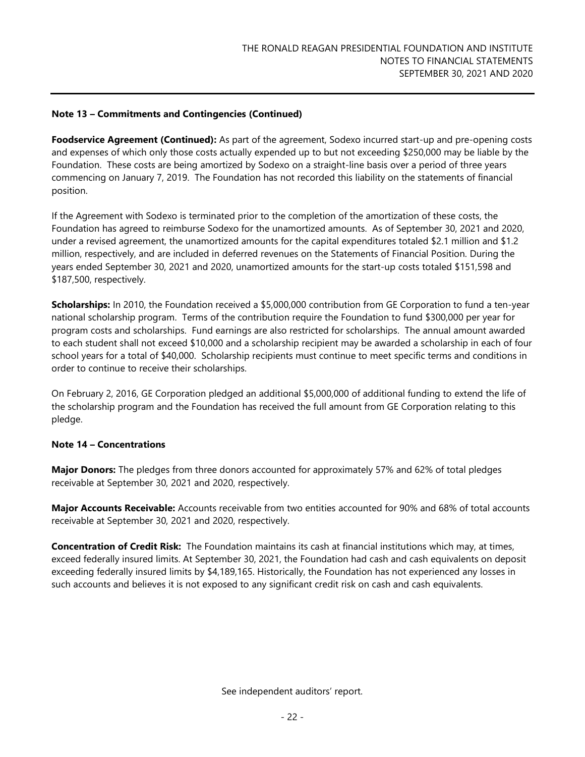#### **Note 13 – Commitments and Contingencies (Continued)**

**Foodservice Agreement (Continued):** As part of the agreement, Sodexo incurred start-up and pre-opening costs and expenses of which only those costs actually expended up to but not exceeding \$250,000 may be liable by the Foundation. These costs are being amortized by Sodexo on a straight-line basis over a period of three years commencing on January 7, 2019. The Foundation has not recorded this liability on the statements of financial position.

If the Agreement with Sodexo is terminated prior to the completion of the amortization of these costs, the Foundation has agreed to reimburse Sodexo for the unamortized amounts. As of September 30, 2021 and 2020, under a revised agreement, the unamortized amounts for the capital expenditures totaled \$2.1 million and \$1.2 million, respectively, and are included in deferred revenues on the Statements of Financial Position. During the years ended September 30, 2021 and 2020, unamortized amounts for the start-up costs totaled \$151,598 and \$187,500, respectively.

**Scholarships:** In 2010, the Foundation received a \$5,000,000 contribution from GE Corporation to fund a ten-year national scholarship program. Terms of the contribution require the Foundation to fund \$300,000 per year for program costs and scholarships. Fund earnings are also restricted for scholarships. The annual amount awarded to each student shall not exceed \$10,000 and a scholarship recipient may be awarded a scholarship in each of four school years for a total of \$40,000. Scholarship recipients must continue to meet specific terms and conditions in order to continue to receive their scholarships.

On February 2, 2016, GE Corporation pledged an additional \$5,000,000 of additional funding to extend the life of the scholarship program and the Foundation has received the full amount from GE Corporation relating to this pledge.

#### **Note 14 – Concentrations**

**Major Donors:** The pledges from three donors accounted for approximately 57% and 62% of total pledges receivable at September 30, 2021 and 2020, respectively.

**Major Accounts Receivable:** Accounts receivable from two entities accounted for 90% and 68% of total accounts receivable at September 30, 2021 and 2020, respectively.

**Concentration of Credit Risk:** The Foundation maintains its cash at financial institutions which may, at times, exceed federally insured limits. At September 30, 2021, the Foundation had cash and cash equivalents on deposit exceeding federally insured limits by \$4,189,165. Historically, the Foundation has not experienced any losses in such accounts and believes it is not exposed to any significant credit risk on cash and cash equivalents.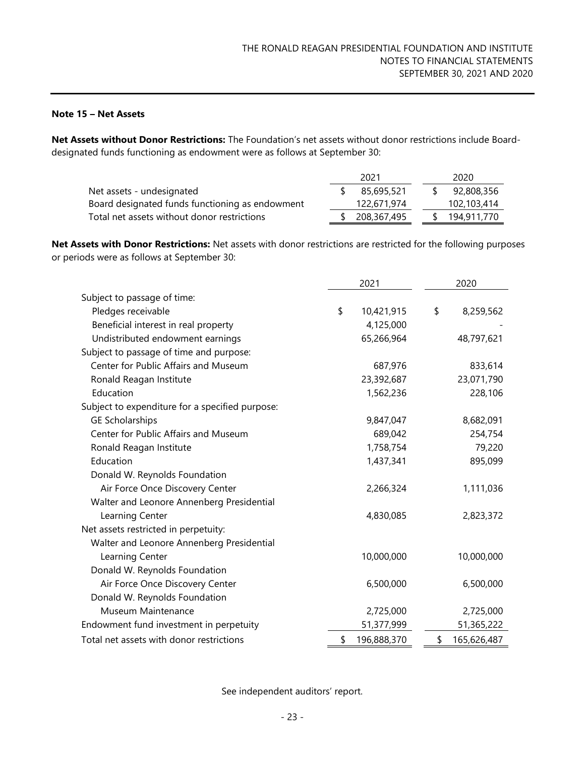## **Note 15 – Net Assets**

**Net Assets without Donor Restrictions:** The Foundation's net assets without donor restrictions include Boarddesignated funds functioning as endowment were as follows at September 30:

|                                                 | 2021           | 2020        |
|-------------------------------------------------|----------------|-------------|
| Net assets - undesignated                       | 85,695,521     | 92,808,356  |
| Board designated funds functioning as endowment | 122,671,974    | 102,103,414 |
| Total net assets without donor restrictions     | \$ 208,367,495 | 194,911,770 |

**Net Assets with Donor Restrictions:** Net assets with donor restrictions are restricted for the following purposes or periods were as follows at September 30:

|                                                 | 2021 |             | 2020              |
|-------------------------------------------------|------|-------------|-------------------|
| Subject to passage of time:                     |      |             |                   |
| Pledges receivable                              | \$   | 10,421,915  | \$<br>8,259,562   |
| Beneficial interest in real property            |      | 4,125,000   |                   |
| Undistributed endowment earnings                |      | 65,266,964  | 48,797,621        |
| Subject to passage of time and purpose:         |      |             |                   |
| Center for Public Affairs and Museum            |      | 687,976     | 833,614           |
| Ronald Reagan Institute                         |      | 23,392,687  | 23,071,790        |
| Education                                       |      | 1,562,236   | 228,106           |
| Subject to expenditure for a specified purpose: |      |             |                   |
| <b>GE Scholarships</b>                          |      | 9,847,047   | 8,682,091         |
| Center for Public Affairs and Museum            |      | 689,042     | 254,754           |
| Ronald Reagan Institute                         |      | 1,758,754   | 79,220            |
| Education                                       |      | 1,437,341   | 895,099           |
| Donald W. Reynolds Foundation                   |      |             |                   |
| Air Force Once Discovery Center                 |      | 2,266,324   | 1,111,036         |
| Walter and Leonore Annenberg Presidential       |      |             |                   |
| Learning Center                                 |      | 4,830,085   | 2,823,372         |
| Net assets restricted in perpetuity:            |      |             |                   |
| Walter and Leonore Annenberg Presidential       |      |             |                   |
| Learning Center                                 |      | 10,000,000  | 10,000,000        |
| Donald W. Reynolds Foundation                   |      |             |                   |
| Air Force Once Discovery Center                 |      | 6,500,000   | 6,500,000         |
| Donald W. Reynolds Foundation                   |      |             |                   |
| Museum Maintenance                              |      | 2,725,000   | 2,725,000         |
| Endowment fund investment in perpetuity         |      | 51,377,999  | 51,365,222        |
| Total net assets with donor restrictions        | \$   | 196,888,370 | \$<br>165,626,487 |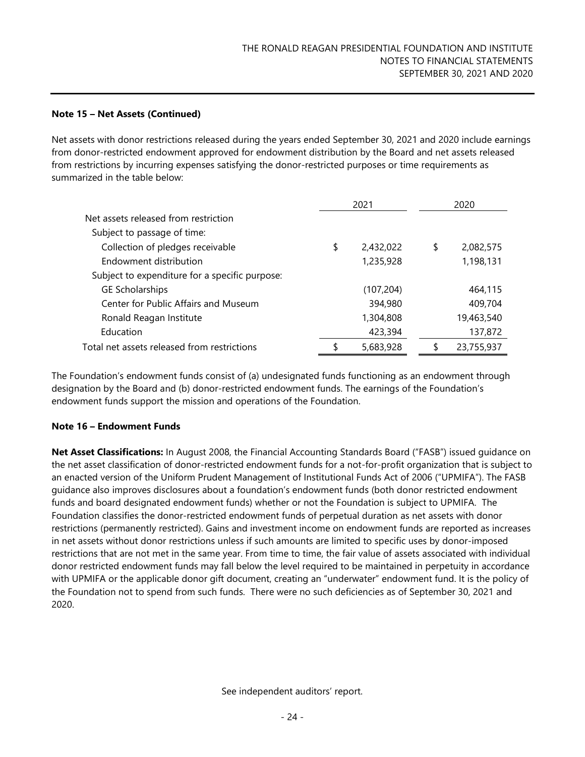## **Note 15 – Net Assets (Continued)**

Net assets with donor restrictions released during the years ended September 30, 2021 and 2020 include earnings from donor-restricted endowment approved for endowment distribution by the Board and net assets released from restrictions by incurring expenses satisfying the donor-restricted purposes or time requirements as summarized in the table below:

|                                                | 2021 |            |     | 2020       |
|------------------------------------------------|------|------------|-----|------------|
| Net assets released from restriction           |      |            |     |            |
| Subject to passage of time:                    |      |            |     |            |
| Collection of pledges receivable               | \$   | 2,432,022  | \$  | 2,082,575  |
| Endowment distribution                         |      | 1,235,928  |     | 1,198,131  |
| Subject to expenditure for a specific purpose: |      |            |     |            |
| <b>GE Scholarships</b>                         |      | (107, 204) |     | 464,115    |
| Center for Public Affairs and Museum           |      | 394,980    |     | 409,704    |
| Ronald Reagan Institute                        |      | 1,304,808  |     | 19,463,540 |
| Education                                      |      | 423,394    |     | 137,872    |
| Total net assets released from restrictions    | \$   | 5,683,928  | \$. | 23,755,937 |

The Foundation's endowment funds consist of (a) undesignated funds functioning as an endowment through designation by the Board and (b) donor-restricted endowment funds. The earnings of the Foundation's endowment funds support the mission and operations of the Foundation.

## **Note 16 – Endowment Funds**

**Net Asset Classifications:** In August 2008, the Financial Accounting Standards Board ("FASB") issued guidance on the net asset classification of donor-restricted endowment funds for a not-for-profit organization that is subject to an enacted version of the Uniform Prudent Management of Institutional Funds Act of 2006 ("UPMIFA"). The FASB guidance also improves disclosures about a foundation's endowment funds (both donor restricted endowment funds and board designated endowment funds) whether or not the Foundation is subject to UPMIFA. The Foundation classifies the donor-restricted endowment funds of perpetual duration as net assets with donor restrictions (permanently restricted). Gains and investment income on endowment funds are reported as increases in net assets without donor restrictions unless if such amounts are limited to specific uses by donor-imposed restrictions that are not met in the same year. From time to time, the fair value of assets associated with individual donor restricted endowment funds may fall below the level required to be maintained in perpetuity in accordance with UPMIFA or the applicable donor gift document, creating an "underwater" endowment fund. It is the policy of the Foundation not to spend from such funds. There were no such deficiencies as of September 30, 2021 and 2020.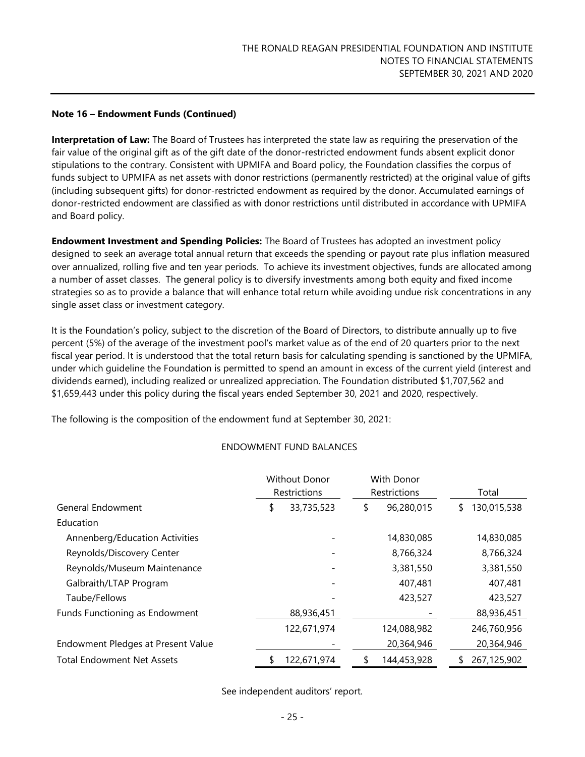**Interpretation of Law:** The Board of Trustees has interpreted the state law as requiring the preservation of the fair value of the original gift as of the gift date of the donor-restricted endowment funds absent explicit donor stipulations to the contrary. Consistent with UPMIFA and Board policy, the Foundation classifies the corpus of funds subject to UPMIFA as net assets with donor restrictions (permanently restricted) at the original value of gifts (including subsequent gifts) for donor-restricted endowment as required by the donor. Accumulated earnings of donor-restricted endowment are classified as with donor restrictions until distributed in accordance with UPMIFA and Board policy.

**Endowment Investment and Spending Policies:** The Board of Trustees has adopted an investment policy designed to seek an average total annual return that exceeds the spending or payout rate plus inflation measured over annualized, rolling five and ten year periods. To achieve its investment objectives, funds are allocated among a number of asset classes. The general policy is to diversify investments among both equity and fixed income strategies so as to provide a balance that will enhance total return while avoiding undue risk concentrations in any single asset class or investment category.

It is the Foundation's policy, subject to the discretion of the Board of Directors, to distribute annually up to five percent (5%) of the average of the investment pool's market value as of the end of 20 quarters prior to the next fiscal year period. It is understood that the total return basis for calculating spending is sanctioned by the UPMIFA, under which guideline the Foundation is permitted to spend an amount in excess of the current yield (interest and dividends earned), including realized or unrealized appreciation. The Foundation distributed \$1,707,562 and \$1,659,443 under this policy during the fiscal years ended September 30, 2021 and 2020, respectively.

The following is the composition of the endowment fund at September 30, 2021:

#### ENDOWMENT FUND BALANCES

|                                    | <b>Without Donor</b> |              | With Donor |              |    |             |
|------------------------------------|----------------------|--------------|------------|--------------|----|-------------|
|                                    |                      | Restrictions |            | Restrictions |    | Total       |
| <b>General Endowment</b>           | \$                   | 33,735,523   | \$         | 96,280,015   | \$ | 130,015,538 |
| Education                          |                      |              |            |              |    |             |
| Annenberg/Education Activities     |                      |              |            | 14,830,085   |    | 14,830,085  |
| Reynolds/Discovery Center          |                      |              |            | 8,766,324    |    | 8,766,324   |
| Reynolds/Museum Maintenance        |                      |              |            | 3,381,550    |    | 3,381,550   |
| Galbraith/LTAP Program             |                      |              |            | 407,481      |    | 407,481     |
| Taube/Fellows                      |                      |              |            | 423,527      |    | 423,527     |
| Funds Functioning as Endowment     |                      | 88,936,451   |            |              |    | 88,936,451  |
|                                    |                      | 122,671,974  |            | 124,088,982  |    | 246,760,956 |
| Endowment Pledges at Present Value |                      |              |            | 20,364,946   |    | 20,364,946  |
| <b>Total Endowment Net Assets</b>  | S                    | 122,671,974  |            | 144,453,928  | S  | 267,125,902 |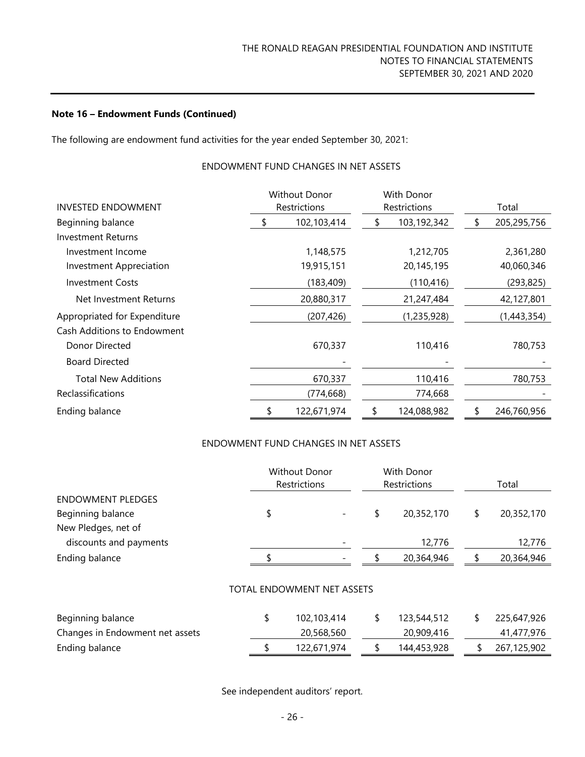The following are endowment fund activities for the year ended September 30, 2021:

#### ENDOWMENT FUND CHANGES IN NET ASSETS

|                                    | <b>Without Donor</b> |              |              | With Donor  |  |             |
|------------------------------------|----------------------|--------------|--------------|-------------|--|-------------|
| <b>INVESTED ENDOWMENT</b>          |                      | Restrictions | Restrictions |             |  | Total       |
| Beginning balance                  |                      | 102,103,414  | S            | 103,192,342 |  | 205,295,756 |
| Investment Returns                 |                      |              |              |             |  |             |
| Investment Income                  |                      | 1,148,575    |              | 1,212,705   |  | 2,361,280   |
| <b>Investment Appreciation</b>     |                      | 19,915,151   |              | 20,145,195  |  | 40,060,346  |
| <b>Investment Costs</b>            |                      | (183, 409)   |              | (110, 416)  |  | (293, 825)  |
| Net Investment Returns             |                      | 20,880,317   |              | 21,247,484  |  | 42,127,801  |
| Appropriated for Expenditure       |                      | (207, 426)   |              | (1,235,928) |  | (1,443,354) |
| <b>Cash Additions to Endowment</b> |                      |              |              |             |  |             |
| Donor Directed                     |                      | 670,337      |              | 110,416     |  | 780,753     |
| <b>Board Directed</b>              |                      |              |              |             |  |             |
| <b>Total New Additions</b>         |                      | 670,337      |              | 110,416     |  | 780,753     |
| Reclassifications                  |                      | (774, 668)   |              | 774,668     |  |             |
| Ending balance                     | \$                   | 122,671,974  | \$           | 124,088,982 |  | 246,760,956 |

# ENDOWMENT FUND CHANGES IN NET ASSETS

|                          | <b>Without Donor</b><br>Restrictions |                          | With Donor<br>Restrictions |            | Total |            |
|--------------------------|--------------------------------------|--------------------------|----------------------------|------------|-------|------------|
| <b>ENDOWMENT PLEDGES</b> |                                      |                          |                            |            |       |            |
| Beginning balance        | \$                                   | $\overline{\phantom{a}}$ | \$                         | 20,352,170 | \$    | 20,352,170 |
| New Pledges, net of      |                                      |                          |                            |            |       |            |
| discounts and payments   |                                      |                          |                            | 12,776     |       | 12,776     |
| Ending balance           |                                      | $\overline{\phantom{a}}$ | ፍ                          | 20,364,946 |       | 20,364,946 |
|                          | TOTAL ENDOWMENT NET ASSETS           |                          |                            |            |       |            |

#### TOTAL ENDOWMENT NET ASSETS

| Beginning balance               | 102.103.414 | 123,544,512 | 225,647,926 |
|---------------------------------|-------------|-------------|-------------|
| Changes in Endowment net assets | 20,568,560  | 20,909,416  | 41,477,976  |
| Ending balance                  | 122,671,974 | 144,453,928 | 267,125,902 |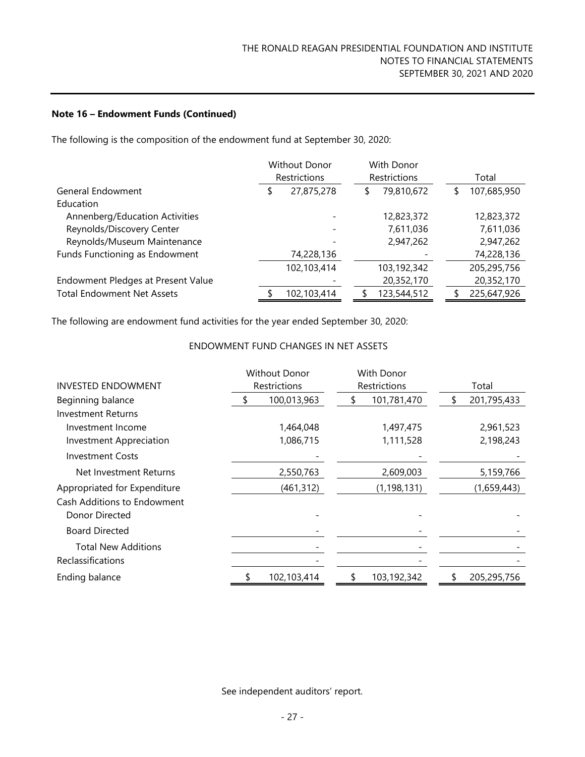The following is the composition of the endowment fund at September 30, 2020:

|                                    | <b>Without Donor</b> |                          | With Donor          |             |   |             |  |
|------------------------------------|----------------------|--------------------------|---------------------|-------------|---|-------------|--|
|                                    |                      | <b>Restrictions</b>      | <b>Restrictions</b> |             |   | Total       |  |
| General Endowment                  | \$                   | 27,875,278               | \$                  | 79,810,672  | S | 107,685,950 |  |
| Education                          |                      |                          |                     |             |   |             |  |
| Annenberg/Education Activities     |                      |                          |                     | 12,823,372  |   | 12,823,372  |  |
| Reynolds/Discovery Center          |                      | $\overline{\phantom{a}}$ |                     | 7,611,036   |   | 7,611,036   |  |
| Reynolds/Museum Maintenance        |                      |                          |                     | 2,947,262   |   | 2,947,262   |  |
| Funds Functioning as Endowment     |                      | 74,228,136               |                     |             |   | 74,228,136  |  |
|                                    |                      | 102,103,414              |                     | 103,192,342 |   | 205,295,756 |  |
| Endowment Pledges at Present Value |                      |                          |                     | 20,352,170  |   | 20,352,170  |  |
| <b>Total Endowment Net Assets</b>  |                      | 102,103,414              |                     | 123,544,512 |   | 225,647,926 |  |

The following are endowment fund activities for the year ended September 30, 2020:

# ENDOWMENT FUND CHANGES IN NET ASSETS

|                                    | <b>Without Donor</b> |  | With Donor          |  |             |  |
|------------------------------------|----------------------|--|---------------------|--|-------------|--|
| <b>INVESTED ENDOWMENT</b>          | <b>Restrictions</b>  |  | <b>Restrictions</b> |  | Total       |  |
| Beginning balance                  | 100,013,963          |  | 101,781,470         |  | 201,795,433 |  |
| <b>Investment Returns</b>          |                      |  |                     |  |             |  |
| Investment Income                  | 1,464,048            |  | 1,497,475           |  | 2,961,523   |  |
| Investment Appreciation            | 1,086,715            |  | 1,111,528           |  | 2,198,243   |  |
| <b>Investment Costs</b>            |                      |  |                     |  |             |  |
| Net Investment Returns             | 2,550,763            |  | 2,609,003           |  | 5,159,766   |  |
| Appropriated for Expenditure       | (461, 312)           |  | (1, 198, 131)       |  | (1,659,443) |  |
| <b>Cash Additions to Endowment</b> |                      |  |                     |  |             |  |
| Donor Directed                     |                      |  |                     |  |             |  |
| <b>Board Directed</b>              |                      |  |                     |  |             |  |
| <b>Total New Additions</b>         |                      |  |                     |  |             |  |
| Reclassifications                  |                      |  |                     |  |             |  |
| Ending balance                     | \$<br>102,103,414    |  | 103,192,342         |  | 205,295,756 |  |